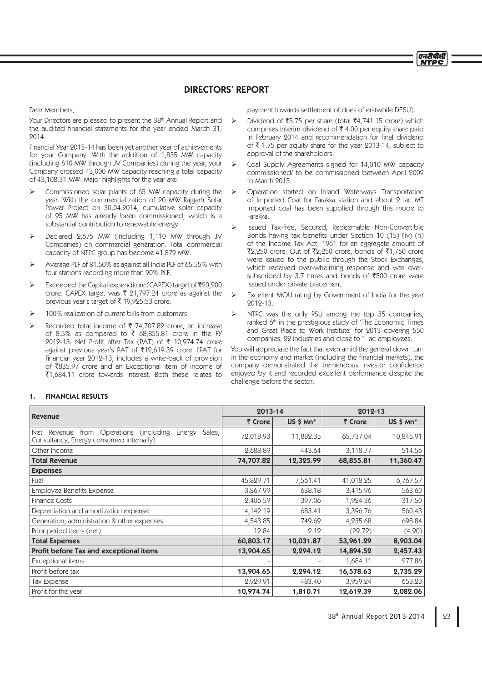# DIRECTORS' REPORT

Dear Members,

Your Directors are pleased to present the 38<sup>th</sup> Annual Report and the audited financial statements for the year ended March 31, 2014.

Financial Year 2013-14 has been yet another year of achievements for your Company. With the addition of 1,835 MW capacity (including 610 MW through JV Companies) during the year, your Company crossed 43,000 MW capacity reaching a total capacity of 43,108.31 MW. Major highlights for the year are:

- Commissioned solar plants of 65 MW capacity during the year. With the commercialization of 20 MW Rajgarh Solar Power Project on 30.04.2014, cumulative solar capacity of 95 MW has already been commissioned, which is a substantial contribution to renewable energy.
- Declared 2,675 MW (including 1,110 MW through JV Companies) on commercial generation. Total commercial capacity of NTPC group has become 41,879 MW.
- Ø Average PLF of 81.50% as against all India PLF of 65.55% with four stations recording more than 90% PLF.
- Exceeded the Capital expenditure (CAPEX) target of  $\bar{\tau}$ 20,200 crore. CAPEX target was  $\bar{\tau}$  21,797.24 crore as against the previous year's target of  $\bar{\tau}$  19,925.53 crore.
- 100% realization of current bills from customers.
- Recorded total income of  $\bar{\tau}$  74,707.82 crore, an increase of 8.5% as compared to  $\bar{\tau}$  68,855.81 crore in the FY 2012-13. Net Profit after Tax (PAT) of  $\bar{\tau}$  10,974.74 crore against previous year's PAT of ₹12,619.39 crore. (PAT for financial year 2012-13, includes a write-back of provision of `835.97 crore and an Exceptional item of income of  $\overline{51,684.11}$  crore towards interest. Both these relates to

payment towards settlement of dues of erstwhile DESU).

एनटीपीसी **NTDC** 

- Dividend of ₹5.75 per share (total ₹4.741.15 crore) which comprises interim dividend of  $\bar{\tau}$  4.00 per equity share paid in February 2014 and recommendation for final dividend of  $\bar{\tau}$  1.75 per equity share for the year 2013-14, subject to approval of the shareholders.
- $\triangleright$  Coal Supply Agreements signed for 14,010 MW capacity commissioned/ to be commissioned between April 2009 to March 2015.
	- Ø Operation started on Inland Waterways Transportation of Imported Coal for Farakka station and about 2 lac MT imported coal has been supplied through this mode to Farakka.
- Ø Issued Tax-free, Secured, Redeemable Non-Convertible Bonds having tax benefits under Section 10 (15) (iv) (h) of the Income Tax Act, 1961 for an aggregate amount of  $\overline{2}2,250$  crore. Out of  $\overline{2}2,250$  crore, bonds of  $\overline{2}1,750$  crore were issued to the public through the Stock Exchanges, which received over-whelming response and was oversubscribed by 3.7 times and bonds of  $\overline{5500}$  crore were issued under private placement.
- Excellent MOU rating by Government of India for the year 2012-13.
- $\triangleright$  NTPC was the only PSU among the top 35 companies, ranked 6<sup>th</sup> in the prestigious study of 'The Economic Times and Great Place to Work Institute' for 2013 covering 550 companies, 22 industries and close to 1 lac employees.

You will appreciate the fact that even amid the general down turn in the economy and market (including the financial markets), the company demonstrated the tremendous investor confidence enjoyed by it and recorded excellent performance despite the challenge before the sector.

| <b>Revenue</b>                                                                                                | 2013-14   |                         | 2012-13   |             |
|---------------------------------------------------------------------------------------------------------------|-----------|-------------------------|-----------|-------------|
|                                                                                                               | ₹ Crore   | $US$ \$ Mn <sup>*</sup> | ₹ Crore   | $US $ Mn^*$ |
| from Operations<br>(including)<br>Sales,<br>Energy<br>Net Revenue<br>Consultancy, Energy consumed internally) | 72,018.93 | 11,882.35               | 65,737.04 | 10,845.91   |
| Other Income                                                                                                  | 2,688.89  | 443.64                  | 3,118.77  | 514.56      |
| <b>Total Revenue</b>                                                                                          | 74,707.82 | 12,325.99               | 68,855.81 | 11,360.47   |
| <b>Expenses</b>                                                                                               |           |                         |           |             |
| Fuel                                                                                                          | 45,829.71 | 7,561.41                | 41,018.25 | 6,767.57    |
| Employee Benefits Expense                                                                                     | 3,867.99  | 638.18                  | 3,415.96  | 563.60      |
| <b>Finance Costs</b>                                                                                          | 2,406.59  | 397.06                  | 1,924.36  | 317.50      |
| Depreciation and amortization expense                                                                         | 4,142.19  | 683.41                  | 3,396.76  | 560.43      |
| Generation, administration & other expenses                                                                   | 4,543.85  | 749.69                  | 4,235.68  | 698.84      |
| Prior period items (net)                                                                                      | 12.84     | 2.12                    | (29.72)   | (4.90)      |
| <b>Total Expenses</b>                                                                                         | 60,803.17 | 10,031.87               | 53,961.29 | 8,903.04    |
| Profit before Tax and exceptional items                                                                       | 13,904.65 | 2,294.12                | 14,894.52 | 2,457.43    |
| Exceptional items                                                                                             |           |                         | 1,684.11  | 277.86      |
| Profit before tax                                                                                             | 13,904.65 | 2,294.12                | 16,578.63 | 2,735.29    |
| Tax Expense                                                                                                   | 2,929.91  | 483.40                  | 3,959.24  | 653.23      |
| Profit for the year                                                                                           | 10,974.74 | 1,810.71                | 12,619.39 | 2,082.06    |

# 1. FINANCIAL RESULTS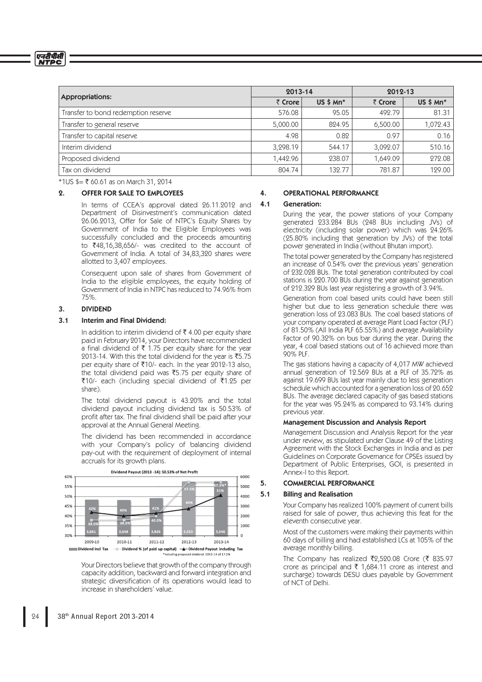एनरीपीसी<br>NTPC

| <b>Appropriations:</b>              | 2013-14  |                | 2012-13  |                |
|-------------------------------------|----------|----------------|----------|----------------|
|                                     | ₹ Crore  | $US$ \$ $Mn^*$ | ₹ Crore  | $US$ \$ $Mn^*$ |
| Transfer to bond redemption reserve | 576.08   | 95.05          | 492.79   | 81.31          |
| Transfer to general reserve         | 5,000.00 | 824.95         | 6,500.00 | 1,072.43       |
| Transfer to capital reserve         | 4.98     | 0.82           | 0.97     | 0.16           |
| Interim dividend                    | 3.298.19 | 544.17         | 3,092.07 | 510.16         |
| Proposed dividend                   | 1.442.96 | 238.07         | 1,649.09 | 272.08         |
| Tax on dividend                     | 804.74   | 132.77         | 781.87   | 129.00         |

 $*1US \xi = \xi$  60.61 as on March 31, 2014

### 2. OFFER FOR SALE TO EMPLOYEES

 In terms of CCEA's approval dated 26.11.2012 and Department of Disinvestment's communication dated 26.06.2013, Offer for Sale of NTPC's Equity Shares by Government of India to the Eligible Employees was successfully concluded and the proceeds amounting to ₹48,16,38,656/- was credited to the account of Government of India. A total of 34,83,320 shares were allotted to 3,407 employees.

 Consequent upon sale of shares from Government of India to the eligible employees, the equity holding of Government of India in NTPC has reduced to 74.96% from 75%.

#### 3. DIVIDEND

### 3.1 Interim and Final Dividend:

In addition to interim dividend of  $\bar{\tau}$  4.00 per equity share paid in February 2014, your Directors have recommended a final dividend of  $\overline{\tau}$  1.75 per equity share for the year 2013-14. With this the total dividend for the year is  $\overline{5}5.75$ per equity share of ₹10/- each. In the year 2012-13 also, the total dividend paid was  $\overline{55.75}$  per equity share of  $\overline{5}10$ /- each (including special dividend of  $\overline{5}1.25$  per share).

 The total dividend payout is 43.20% and the total dividend payout including dividend tax is 50.53% of profit after tax. The final dividend shall be paid after your approval at the Annual General Meeting.

 The dividend has been recommended in accordance with your Company's policy of balancing dividend pay-out with the requirement of deployment of internal accruals for its growth plans.



 Your Directors believe that growth of the company through capacity addition, backward and forward integration and strategic diversification of its operations would lead to increase in shareholders' value.

#### 4. OPERATIONAL PERFORMANCE

#### 4.1 Generation:

 During the year, the power stations of your Company generated 233.284 BUs (248 BUs including JVs) of electricity (including solar power) which was 24.26% (25.80% including that generation by JVs) of the total power generated in India (without Bhutan import).

 The total power generated by the Company has registered an increase of 0.54% over the previous years' generation of 232.028 BUs. The total generation contributed by coal stations is 220.700 BUs during the year against generation of 212.329 BUs last year registering a growth of 3.94%.

 Generation from coal based units could have been still higher but due to less generation schedule there was generation loss of 23.083 BUs. The coal based stations of your company operated at average Plant Load Factor (PLF) of 81.50% (All India PLF 65.55%) and average Availability Factor of 90.32% on bus bar during the year. During the year, 4 coal based stations out of 16 achieved more than 90% PLF.

 The gas stations having a capacity of 4,017 MW achieved annual generation of 12.569 BUs at a PLF of 35.72% as against 19.699 BUs last year mainly due to less generation schedule which accounted for a generation loss of 20.652 BUs. The average declared capacity of gas based stations for the year was 95.24% as compared to 93.14% during previous year.

### Management Discussion and Analysis Report

 Management Discussion and Analysis Report for the year under review, as stipulated under Clause 49 of the Listing Agreement with the Stock Exchanges in India and as per Guidelines on Corporate Governance for CPSEs issued by Department of Public Enterprises, GOI, is presented in Annex-I to this Report.

### 5. COMMERCIAL PERFORMANCE

#### 5.1 Billing and Realisation

 Your Company has realized 100% payment of current bills raised for sale of power, thus achieving this feat for the eleventh consecutive year.

 Most of the customers were making their payments within 60 days of billing and had established LCs at 105% of the average monthly billing.

The Company has realized ₹2,520.08 Crore (₹ 835.97 crore as principal and  $\bar{\tau}$  1,684.11 crore as interest and surcharge) towards DESU dues payable by Government of NCT of Delhi.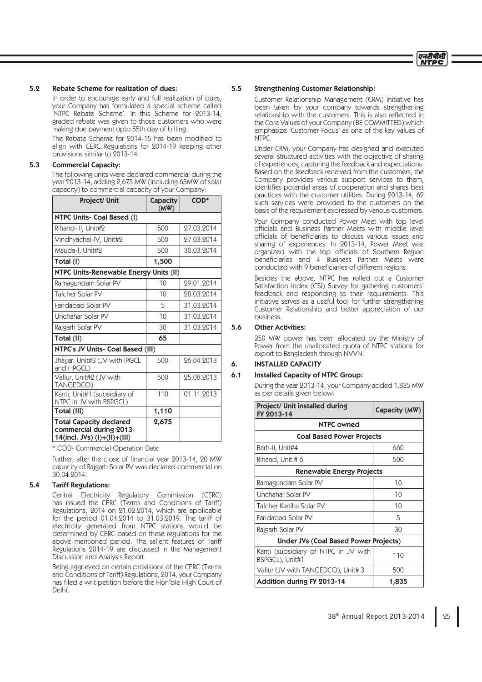

# 5.2 Rebate Scheme for realization of dues:

 In order to encourage early and full realization of dues, your Company has formulated a special scheme called 'NTPC Rebate Scheme'. In this Scheme for 2013-14, graded rebate was given to those customers who were making due payment upto 55th day of billing.

The Rebate Scheme for 2014-15 has been modified to align with CERC Regulations for 2014-19 keeping other provisions similar to 2013-14.

# 5.3 Commercial Capacity:

 The following units were declared commercial during the year 2013-14, adding 2,675 MW (including 65MW of solar capacity) to commercial capacity of your Company:

| Project/ Unit                                                                              | <b>Capacity</b><br>(MW) | COD <sup>*</sup> |  |
|--------------------------------------------------------------------------------------------|-------------------------|------------------|--|
| NTPC Units- Coal Based (I)                                                                 |                         |                  |  |
| Rihand-III, Unit#2                                                                         | 500                     | 27.03.2014       |  |
| Vindhyachal-IV, Unit#2                                                                     | 500                     | 27.03.2014       |  |
| Mauda-I, Unit#2                                                                            | 500                     | 30.03.2014       |  |
| Total (I)                                                                                  | 1,500                   |                  |  |
| NTPC Units-Renewable Energy Units (II)                                                     |                         |                  |  |
| Ramagundam Solar PV                                                                        | 10                      | 29.01.2014       |  |
| Talcher Solar PV                                                                           | 10                      | 28.03.2014       |  |
| Faridabad Solar PV                                                                         | 5                       | 31.03.2014       |  |
| Unchahar Solar PV                                                                          | 10                      | 31.03.2014       |  |
| Rajgarh Solar PV                                                                           | 30                      | 31.03.2014       |  |
| Total (II)                                                                                 | 65                      |                  |  |
| <b>NTPC's JV Units- Coal Based (III)</b>                                                   |                         |                  |  |
| Jhajjar, Unit#3 (JV with IPGCL<br>and HPGCL)                                               | 500                     | 26.04.2013       |  |
| Vallur, Unit#2 (JV with<br>TANGEDCO)                                                       | 500                     | 25.08.2013       |  |
| Kanti, Unit#1 (subsidiary of<br>NTPC in JV with BSPGCL)                                    | 110                     | 01.11.2013       |  |
| Total (III)                                                                                | 1,110                   |                  |  |
| <b>Total Capacity declared</b><br>commercial during 2013-<br>14(incl. JVs) $(l)+(ll)+(ll)$ | 2,675                   |                  |  |

\* COD- Commercial Operation Date

Further, after the close of financial year 2013-14, 20 MW capacity of Rajgarh Solar PV was declared commercial on 30.04.2014.

# 5.4 Tariff Regulations:

 Central Electricity Regulatory Commission (CERC) has issued the CERC (Terms and Conditions of Tariff) Regulations, 2014 on 21.02.2014, which are applicable for the period 01.04.2014 to 31.03.2019. The tariff of electricity generated from NTPC stations would be determined by CERC based on these regulations for the above mentioned period. The salient features of Tariff Regulations 2014-19 are discussed in the Management Discussion and Analysis Report.

> Being aggrieved on certain provisions of the CERC (Terms and Conditions of Tariff) Regulations, 2014, your Company has filed a writ petition before the Hon'ble High Court of Delhi.

### 5.5 Strengthening Customer Relationship:

 Customer Relationship Management (CRM) initiative has been taken by your company towards strengthening relationship with the customers. This is also reflected in the Core Values of your Company (BE COMMITTED) which emphasize 'Customer Focus' as one of the key values of NTPC.

 Under CRM, your Company has designed and executed several structured activities with the objective of sharing of experiences, capturing the feedback and expectations. Based on the feedback received from the customers, the Company provides various support services to them, identifies potential areas of cooperation and shares best practices with the customer utilities. During 2013-14, 62 such services were provided to the customers on the basis of the requirement expressed by various customers.

 Your Company conducted Power Meet with top level officials and Business Partner Meets with middle level officials of beneficiaries to discuss various issues and sharing of experiences. In 2013-14, Power Meet was organized with the top officials of Southern Region beneficiaries and 4 Business Partner Meets were conducted with 9 beneficiaries of different regions.

 Besides the above, NTPC has rolled out a Customer Satisfaction Index (CSI) Survey for gathering customers' feedback and responding to their requirements. This initiative serves as a useful tool for further strengthening Customer Relationship and better appreciation of our business.

### 5.6 Other Activities:

 250 MW power has been allocated by the Ministry of Power from the unallocated quota of NTPC stations for export to Bangladesh through NVVN.

# 6. INSTALLED CAPACITY

### 6.1 Installed Capacity of NTPC Group:

 During the year 2013-14, your Company added 1,835 MW as per details given below:

| Project/ Unit installed during<br>FY 2013-14            | Capacity (MW) |  |  |
|---------------------------------------------------------|---------------|--|--|
| NTPC owned                                              |               |  |  |
| <b>Coal Based Power Projects</b>                        |               |  |  |
| Barh-II, Unit#4                                         | 660           |  |  |
| Rihand, Unit #6                                         | 500           |  |  |
| Renewable Energy Projects                               |               |  |  |
| Ramagundam Solar PV                                     | 10            |  |  |
| Unchahar Solar PV                                       | 10            |  |  |
| Talcher Kaniha Solar PV                                 | 10            |  |  |
| Faridabad Solar PV                                      | 5             |  |  |
| Rajgarh Solar PV                                        | 30            |  |  |
| Under JVs (Coal Based Power Projects)                   |               |  |  |
| Kanti (subsidiary of NTPC in JV with<br>BSPGCL), Unit#1 | 110           |  |  |
| Vallur (JV with TANGEDCO), Unit# 3                      | 500           |  |  |
| <b>Addition during FY 2013-14</b>                       | 1,835         |  |  |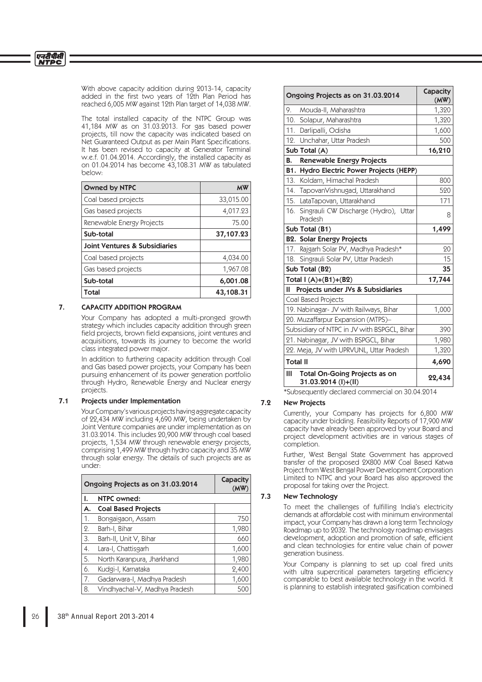With above capacity addition during 2013-14, capacity added in the first two years of 12th Plan Period has reached 6,005 MW against 12th Plan target of 14,038 MW.

 The total installed capacity of the NTPC Group was 41,184 MW as on 31.03.2013. For gas based power projects, till now the capacity was indicated based on Net Guaranteed Output as per Main Plant Specifications. It has been revised to capacity at Generator Terminal w.e.f. 01.04.2014. Accordingly, the installed capacity as on 01.04.2014 has become 43,108.31 MW as tabulated below:

| <b>Owned by NTPC</b>                     | <b>MW</b> |
|------------------------------------------|-----------|
| Coal based projects                      | 33,015.00 |
| Gas based projects                       | 4,017.23  |
| Renewable Energy Projects                | 75.00     |
| Sub-total                                | 37,107.23 |
| <b>Joint Ventures &amp; Subsidiaries</b> |           |
| Coal based projects                      | 4,034.00  |
| Gas based projects                       | 1,967.08  |
| Sub-total                                | 6,001.08  |
| Total                                    | 43,108.31 |

# 7. CAPACITY ADDITION PROGRAM

 Your Company has adopted a multi-pronged growth strategy which includes capacity addition through green field projects, brown field expansions, joint ventures and acquisitions, towards its journey to become the world class integrated power major.

 In addition to furthering capacity addition through Coal and Gas based power projects, your Company has been pursuing enhancement of its power generation portfolio through Hydro, Renewable Energy and Nuclear energy projects.

## 7.1 Projects under Implementation

 Your Company's various projects having aggregate capacity of 22,434 MW including 4,690 MW, being undertaken by Joint Venture companies are under implementation as on 31.03.2014. This includes 20,900 MW through coal based projects, 1,534 MW through renewable energy projects, comprising 1,499 MW through hydro capacity and 35 MW through solar energy. The details of such projects are as under:

| Ongoing Projects as on 31.03.2014 |                               | Capacity<br>(MW |
|-----------------------------------|-------------------------------|-----------------|
| ı.                                | <b>NTPC owned:</b>            |                 |
| А.                                | <b>Coal Based Projects</b>    |                 |
| 1.                                | Bongaigaon, Assam             | 750             |
| 2.                                | Barh-I, Bihar                 | 1,980           |
| 3.                                | Barh-II, Unit V, Bihar        | 660             |
| 4.                                | Lara-I, Chattisgarh           | 1,600           |
| 5.                                | North Karanpura, Jharkhand    | 1,980           |
| 6.                                | Kudgi-I, Karnataka            | 2,400           |
| 7.                                | Gadarwara-I, Madhya Pradesh   | 1,600           |
| 8.                                | Vindhyachal-V, Madhya Pradesh | 500             |

| Ongoing Projects as on 31.03.2014 | Capacity<br>(MW)                                            |        |
|-----------------------------------|-------------------------------------------------------------|--------|
| 9.                                | Mouda-II, Maharashtra                                       | 1,320  |
| 10.                               | Solapur, Maharashtra                                        | 1,320  |
| 11.                               | Darlipalli, Odisha                                          | 1,600  |
|                                   | 12. Unchahar, Uttar Pradesh                                 | 500    |
|                                   | Sub Total (A)                                               | 16,210 |
| В.                                | <b>Renewable Energy Projects</b>                            |        |
|                                   | B1. Hydro Electric Power Projects (HEPP)                    |        |
|                                   | 13. Koldam, Himachal Pradesh                                | 800    |
|                                   | 14. TapovanVishnugad, Uttarakhand                           | 520    |
|                                   | 15. LataTapovan, Uttarakhand                                | 171    |
|                                   | 16. Singrauli CW Discharge (Hydro), Uttar<br>Pradesh        | 8      |
|                                   | Sub Total (B1)                                              | 1,499  |
|                                   | <b>B2. Solar Energy Projects</b>                            |        |
|                                   | 17. Rajgarh Solar PV, Madhya Pradesh*                       | 20     |
|                                   | 18. Singrauli Solar PV, Uttar Pradesh                       | 15     |
|                                   | Sub Total (B2)                                              | 35     |
|                                   | Total $I(A)+(B1)+(B2)$                                      | 17,744 |
| Ш                                 | Projects under JVs & Subsidiaries                           |        |
|                                   | Coal Based Projects                                         |        |
|                                   | 19. Nabinagar- JV with Railways, Bihar                      | 1,000  |
|                                   | 20. Muzaffarpur Expansion (MTPS)-                           |        |
|                                   | Subsidiary of NTPC in JV with BSPGCL, Bihar                 | 390    |
|                                   | 21. Nabinagar, JV with BSPGCL, Bihar                        | 1,980  |
|                                   | 22. Meja, JV with UPRVUNL, Uttar Pradesh                    | 1,320  |
| <b>Total II</b>                   |                                                             | 4,690  |
| Ш                                 | <b>Total On-Going Projects as on</b><br>31.03.2014 (I)+(II) | 22,434 |

\*Subsequently declared commercial on 30.04.2014

# 7.2 New Projects

 Currently, your Company has projects for 6,800 MW capacity under bidding. Feasibility Reports of 17,900 MW capacity have already been approved by your Board and project development activities are in various stages of completion.

 Further, West Bengal State Government has approved transfer of the proposed 2X800 MW Coal Based Katwa Project from West Bengal Power Development Corporation Limited to NTPC and your Board has also approved the proposal for taking over the Project.

# 7.3 New Technology

To meet the challenges of fulfilling India's electricity demands at affordable cost with minimum environmental impact, your Company has drawn a long term Technology Roadmap up to 2032. The technology roadmap envisages development, adoption and promotion of safe, efficient and clean technologies for entire value chain of power generation business.

Your Company is planning to set up coal fired units with ultra supercritical parameters targeting efficiency comparable to best available technology in the world. It is planning to establish integrated gasification combined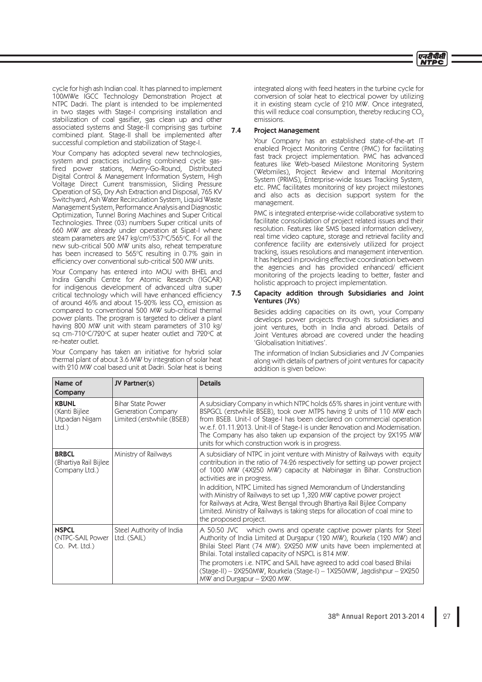

cycle for high ash Indian coal. It has planned to implement 100MWe IGCC Technology Demonstration Project at NTPC Dadri. The plant is intended to be implemented in two stages with Stage-I comprising installation and stabilization of coal gasifier, gas clean up and other associated systems and Stage-II comprising gas turbine combined plant. Stage-II shall be implemented after successful completion and stabilization of Stage-I.

 Your Company has adopted several new technologies, system and practices including combined cycle gasfired power stations, Merry-Go-Round, Distributed Digital Control & Management Information System, High Voltage Direct Current transmission, Sliding Pressure Operation of SG, Dry Ash Extraction and Disposal, 765 KV Switchyard, Ash Water Recirculation System, Liquid Waste Management System, Performance Analysis and Diagnostic Optimization, Tunnel Boring Machines and Super Critical Technologies. Three (03) numbers Super critical units of 660 MW are already under operation at Sipat-I where steam parameters are 247 kg/cm<sup>2</sup>/537°C/565°C. For all the new sub-critical 500 MW units also, reheat temperature has been increased to  $565^{\circ}$ C resulting in 0.7% gain in efficiency over conventional sub-critical 500 MW units.

 Your Company has entered into MOU with BHEL and Indira Gandhi Centre for Atomic Research (IGCAR) for indigenous development of advanced ultra super critical technology which will have enhanced efficiency of around 46% and about 15-20% less CO<sub>2</sub> emission as compared to conventional 500 MW sub-critical thermal power plants. The program is targeted to deliver a plant having 800 MW unit with steam parameters of 310 kg/ sq cm-710°C/720°C at super heater outlet and 720°C at re-heater outlet.

 Your Company has taken an initiative for hybrid solar thermal plant of about 3.6 MW by integration of solar heat with 210 MW coal based unit at Dadri. Solar heat is being integrated along with feed heaters in the turbine cycle for conversion of solar heat to electrical power by utilizing it in existing steam cycle of 210 MW. Once integrated, this will reduce coal consumption, thereby reducing  $CO<sub>2</sub>$ emissions.

# 7.4 Project Management

 Your Company has an established state-of-the-art IT enabled Project Monitoring Centre (PMC) for facilitating fast track project implementation. PMC has advanced features like Web-based Milestone Monitoring System (Webmiles), Project Review and Internal Monitoring System (PRIMS), Enterprise-wide Issues Tracking System, etc. PMC facilitates monitoring of key project milestones and also acts as decision support system for the management.

 PMC is integrated enterprise-wide collaborative system to facilitate consolidation of project related issues and their resolution. Features like SMS based information delivery, real time video capture, storage and retrieval facility and conference facility are extensively utilized for project tracking, issues resolutions and management intervention. It has helped in providing effective coordination between the agencies and has provided enhanced/ efficient monitoring of the projects leading to better, faster and holistic approach to project implementation.

### 7.5 Capacity addition through Subsidiaries and Joint Ventures (JVs)

 Besides adding capacities on its own, your Company develops power projects through its subsidiaries and joint ventures, both in India and abroad. Details of Joint Ventures abroad are covered under the heading 'Globalisation Initiatives'.

 The information of Indian Subsidiaries and JV Companies along with details of partners of joint ventures for capacity addition is given below:

| Name of                                                | JV Partner(s)                                                               | <b>Details</b>                                                                                                                                                                                                                                                                                                                                                                                                                                                                                                                                                                                |
|--------------------------------------------------------|-----------------------------------------------------------------------------|-----------------------------------------------------------------------------------------------------------------------------------------------------------------------------------------------------------------------------------------------------------------------------------------------------------------------------------------------------------------------------------------------------------------------------------------------------------------------------------------------------------------------------------------------------------------------------------------------|
| Company                                                |                                                                             |                                                                                                                                                                                                                                                                                                                                                                                                                                                                                                                                                                                               |
| <b>KBUNL</b><br>(Kanti Bijlee<br>Utpadan Nigam<br>Ltd. | <b>Bihar State Power</b><br>Generation Company<br>Limited (erstwhile (BSEB) | A subsidiary Company in which NTPC holds 65% shares in joint venture with<br>BSPGCL (erstwhile BSEB), took over MTPS having 2 units of 110 MW each<br>from BSEB. Unit-I of Stage-I has been declared on commercial operation<br>w.e.f. 01.11.2013. Unit-II of Stage-I is under Renovation and Modernisation.<br>The Company has also taken up expansion of the project by 2X195 MW<br>units for which construction work is in progress.                                                                                                                                                       |
| <b>BRBCL</b><br>(Bhartiya Rail Bijlee<br>Company Ltd.) | Ministry of Railways                                                        | A subsidiary of NTPC in joint venture with Ministry of Railways with equity<br>contribution in the ratio of 74.26 respectively for setting up power project<br>of 1000 MW (4X250 MW) capacity at Nabinagar in Bihar. Construction<br>activities are in progress.<br>In addition, NTPC Limited has signed Memorandum of Understanding<br>with Ministry of Railways to set up 1,320 MW captive power project<br>for Railways at Adra, West Bengal through Bhartiya Rail Bijlee Company<br>Limited. Ministry of Railways is taking steps for allocation of coal mine to<br>the proposed project. |
| <b>NSPCL</b><br>(NTPC-SAIL Power<br>$Co.$ Pvt. Ltd.)   | Steel Authority of India<br>Ltd. (SAIL)                                     | A 50:50 JVC which owns and operate captive power plants for Steel<br>Authority of India Limited at Durgapur (120 MW), Rourkela (120 MW) and<br>Bhilai Steel Plant (74 MW). 2X250 MW units have been implemented at<br>Bhilai. Total installed capacity of NSPCL is 814 MW.<br>The promoters i.e. NTPC and SAIL have agreed to add coal based Bhilai<br>(Stage-II) – 2X250MW, Rourkela (Stage-I) – 1X250MW, Jagdishpur – 2X250<br>$MW$ and Durgapur $-$ 2X20 MW.                                                                                                                               |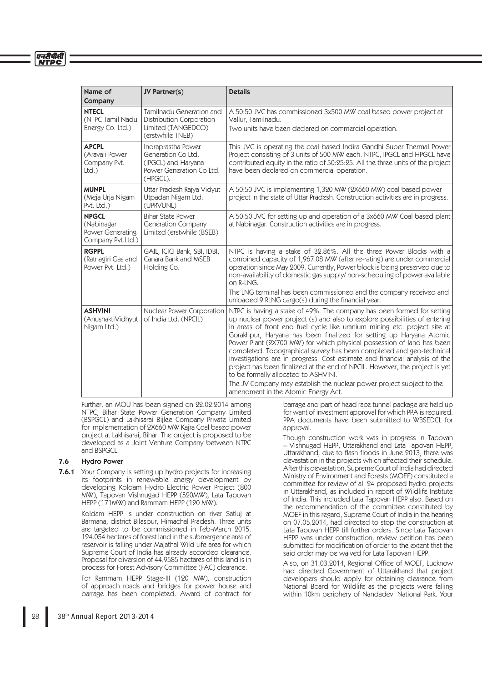#### एनदीपीसी **NTPC**

| Name of<br>Company                                                  | JV Partner(s)                                                                                           | <b>Details</b>                                                                                                                                                                                                                                                                                                                                                                                                                                                                                                                                                                                                                                                                                                                                                                                                                         |
|---------------------------------------------------------------------|---------------------------------------------------------------------------------------------------------|----------------------------------------------------------------------------------------------------------------------------------------------------------------------------------------------------------------------------------------------------------------------------------------------------------------------------------------------------------------------------------------------------------------------------------------------------------------------------------------------------------------------------------------------------------------------------------------------------------------------------------------------------------------------------------------------------------------------------------------------------------------------------------------------------------------------------------------|
| <b>NTECL</b><br>(NTPC Tamil Nadu<br>Energy Co. Ltd.)                | Tamilnadu Generation and<br><b>Distribution Corporation</b><br>Limited (TANGEDCO)<br>(erstwhile TNEB)   | A 50:50 JVC has commissioned 3x500 MW coal based power project at<br>Vallur, Tamilnadu.<br>Two units have been declared on commercial operation.                                                                                                                                                                                                                                                                                                                                                                                                                                                                                                                                                                                                                                                                                       |
| <b>APCPL</b><br>(Aravali Power<br>Company Pvt.<br>Ltd.              | Indraprastha Power<br>Generation Co Ltd.<br>(IPGCL) and Haryana<br>Power Generation Co Ltd.<br>(HPGCL). | This JVC is operating the coal based Indira Gandhi Super Thermal Power<br>Project consisting of 3 units of 500 MW each. NTPC, IPGCL and HPGCL have<br>contributed equity in the ratio of 50:25:25. All the three units of the project<br>have been declared on commercial operation.                                                                                                                                                                                                                                                                                                                                                                                                                                                                                                                                                   |
| <b>MUNPL</b><br>(Meja Urja Nigam<br>Pvt. Ltd.)                      | Uttar Pradesh Rajya Vidyut<br>Utpadan Nigam Ltd.<br>(UPRVUNL)                                           | A 50:50 JVC is implementing 1,320 MW (2X660 MW) coal based power<br>project in the state of Uttar Pradesh. Construction activities are in progress.                                                                                                                                                                                                                                                                                                                                                                                                                                                                                                                                                                                                                                                                                    |
| <b>NPGCL</b><br>(Nabinagar<br>Power Generating<br>Company Pvt.Ltd.) | <b>Bihar State Power</b><br><b>Generation Company</b><br>Limited (erstwhile (BSEB)                      | A 50:50 JVC for setting up and operation of a 3x660 MW Coal based plant<br>at Nabinagar. Construction activities are in progress.                                                                                                                                                                                                                                                                                                                                                                                                                                                                                                                                                                                                                                                                                                      |
| <b>RGPPL</b><br>(Ratnagiri Gas and<br>Power Pvt. Ltd.)              | GAIL, ICICI Bank, SBI, IDBI,<br>Canara Bank and MSEB<br>Holding Co.                                     | NTPC is having a stake of 32.86%. All the three Power Blocks with a<br>combined capacity of 1,967.08 MW (after re-rating) are under commercial<br>operation since May 2009. Currently, Power block is being preserved due to<br>non-availability of domestic gas supply/ non-scheduling of power available<br>on R-LNG.<br>The LNG terminal has been commissioned and the company received and                                                                                                                                                                                                                                                                                                                                                                                                                                         |
| <b>ASHVINI</b><br>(AnushaktiVidhyut<br>Nigam Ltd.)                  | Nuclear Power Corporation<br>of India Ltd. (NPCIL)                                                      | unloaded 9 RLNG cargo(s) during the financial year.<br>NTPC is having a stake of 49%. The company has been formed for setting<br>up nuclear power project (s) and also to explore possibilities of entering<br>in areas of front end fuel cycle like uranium mining etc. project site at<br>Gorakhpur, Haryana has been finalized for setting up Haryana Atomic<br>Power Plant (2X700 MW) for which physical possession of land has been<br>completed. Topographical survey has been completed and geo-technical<br>investigations are in progress. Cost estimate and financial analysis of the<br>project has been finalized at the end of NPCIL. However, the project is yet<br>to be formally allocated to ASHVINI.<br>The JV Company may establish the nuclear power project subject to the<br>amendment in the Atomic Energy Act. |

 Further, an MOU has been signed on 22.02.2014 among NTPC, Bihar State Power Generation Company Limited (BSPGCL) and Lakhisarai Bijlee Company Private Limited for implementation of 2X660 MW Kajra Coal based power project at Lakhisarai, Bihar. The project is proposed to be developed as a Joint Venture Company between NTPC and BSPGCL.

# 7.6 Hydro Power

**7.6.1** Your Company is setting up hydro projects for increasing its footprints in renewable energy development by developing Koldam Hydro Electric Power Project (800 MW), Tapovan Vishnugad HEPP (520MW), Lata Tapovan HEPP (171MW) and Rammam HEPP (120 MW).

> Koldam HEPP is under construction on river Satluj at Barmana, district Bilaspur, Himachal Pradesh. Three units are targeted to be commissioned in Feb-March 2015. 124.054 hectares of forest land in the submergence area of reservoir is falling under Majathal Wild Life area for which Supreme Court of India has already accorded clearance. Proposal for diversion of 44.9585 hectares of this land is in process for Forest Advisory Committee (FAC) clearance.

> For Rammam HEPP Stage-III (120 MW), construction of approach roads and bridges for power house and barrage has been completed. Award of contract for

barrage and part of head race tunnel package are held up for want of investment approval for which PPA is required. PPA documents have been submitted to WBSEDCL for approval.

 Though construction work was in progress in Tapovan – Vishnugad HEPP, Uttarakhand and Lata Tapovan HEPP, Uttarakhand, due to flash floods in June 2013, there was devastation in the projects which affected their schedule. After this devastation, Supreme Court of India had directed Ministry of Environment and Forests (MOEF) constituted a committee for review of all 24 proposed hydro projects in Uttarakhand, as included in report of Wildlife Institute of India. This included Lata Tapovan HEPP also. Based on the recommendation of the committee constituted by MOEF in this regard, Supreme Court of India in the hearing on 07.05.2014, had directed to stop the construction at Lata Tapovan HEPP till further orders. Since Lata Tapovan HEPP was under construction, review petition has been submitted for modification of order to the extent that the said order may be waived for Lata Tapovan HEPP.

Also, on 31.03.2014, Regional Office of MOEF, Lucknow had directed Government of Uttarakhand that project developers should apply for obtaining clearance from National Board for Wildlife as the projects were falling within 10km periphery of Nandadevi National Park. Your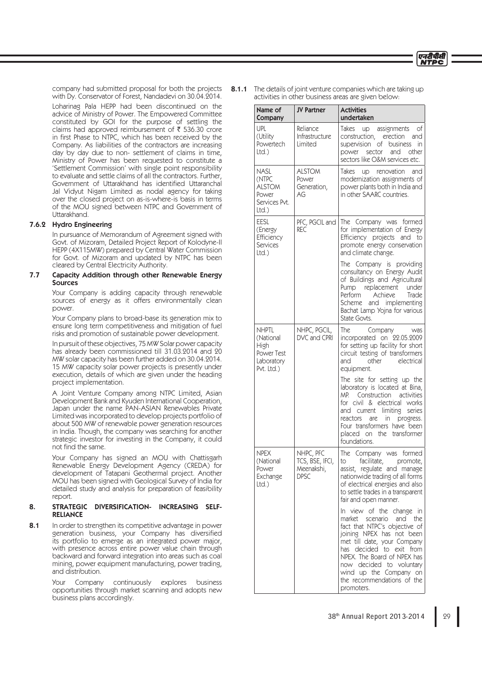

company had submitted proposal for both the projects with Dy. Conservator of Forest, Nandadevi on 30.04.2014. Loharinag Pala HEPP had been discontinued on the advice of Ministry of Power. The Empowered Committee constituted by GOI for the purpose of settling the claims had approved reimbursement of  $\bar{\tau}$  536.30 crore in first Phase to NTPC, which has been received by the Company. As liabilities of the contractors are increasing day by day due to non- settlement of claims in time, Ministry of Power has been requested to constitute a 'Settlement Commission' with single point responsibility to evaluate and settle claims of all the contractors. Further, Government of Uttarakhand has identified Uttaranchal Jal Vidyut Nigam Limited as nodal agency for taking over the closed project on as-is-where-is basis in terms of the MOU signed between NTPC and Government of Uttarakhand.

# 7.6.2 Hydro Engineering

 In pursuance of Memorandum of Agreement signed with Govt. of Mizoram, Detailed Project Report of Kolodyne-II HEPP (4X115MW) prepared by Central Water Commission for Govt. of Mizoram and updated by NTPC has been cleared by Central Electricity Authority.

## 7.7 Capacity Addition through other Renewable Energy Sources

 Your Company is adding capacity through renewable sources of energy as it offers environmentally clean power.

 Your Company plans to broad-base its generation mix to ensure long term competitiveness and mitigation of fuel risks and promotion of sustainable power development.

 In pursuit of these objectives, 75 MW Solar power capacity has already been commissioned till 31.03.2014 and 20 MW solar capacity has been further added on 30.04.2014. 15 MW capacity solar power projects is presently under execution, details of which are given under the heading project implementation.

 A Joint Venture Company among NTPC Limited, Asian Development Bank and Kyuden International Cooperation, Japan under the name PAN-ASIAN Renewables Private Limited was incorporated to develop projects portfolio of about 500 MW of renewable power generation resources in India. Though, the company was searching for another strategic investor for investing in the Company, it could not find the same.

 Your Company has signed an MOU with Chattisgarh Renewable Energy Development Agency (CREDA) for development of Tatapani Geothermal project. Another MOU has been signed with Geological Survey of India for detailed study and analysis for preparation of feasibility report.

# 8. STRATEGIC DIVERSIFICATION- INCREASING SELF-RELIANCE

8.1 In order to strengthen its competitive advantage in power generation business, your Company has diversified its portfolio to emerge as an integrated power major, with presence across entire power value chain through backward and forward integration into areas such as coal mining, power equipment manufacturing, power trading, and distribution.

> Your Company continuously explores business opportunities through market scanning and adopts new business plans accordingly.

8.1.1 The details of joint venture companies which are taking up activities in other business areas are given below:

| Name of<br>Company                                                          | <b>JV Partner</b>                                         | <b>Activities</b><br>undertaken                                                                                                                                                                                                                                                                               |
|-----------------------------------------------------------------------------|-----------------------------------------------------------|---------------------------------------------------------------------------------------------------------------------------------------------------------------------------------------------------------------------------------------------------------------------------------------------------------------|
| UPL<br>(Utility<br>Powertech<br>$Ltd.$ )                                    | Reliance<br>Infrastructure<br>Limited                     | Takes up assignments of<br>construction, erection and<br>supervision of business<br>in<br>power sector<br>and other<br>sectors like O&M services etc.                                                                                                                                                         |
| <b>NASL</b><br>(NTPC<br><b>ALSTOM</b><br>Power<br>Services Pvt.<br>ltd.)    | <b>ALSTOM</b><br>Power<br>Generation,<br>АG               | Takes<br>up renovation<br>and<br>modernization assignments of<br>power plants both in India and<br>in other SAARC countries.                                                                                                                                                                                  |
| <b>EESL</b><br>(Energy<br>Efficiency<br>Services<br>$Ltd.$ )                | PFC, PGCIL and<br><b>REC</b>                              | The Company was formed<br>for implementation of Energy<br>Efficiency projects and to<br>promote energy conservation<br>and climate change.                                                                                                                                                                    |
|                                                                             |                                                           | The Company is providing<br>consultancy on Energy Audit<br>of Buildings and Agricultural<br>Pump replacement under<br>Perform<br>Achieve<br>Trade<br>Scheme and implementing<br>Bachat Lamp Yojna for various<br>State Govts.                                                                                 |
| <b>NHPTL</b><br>(National<br>High<br>Power Test<br>Laboratory<br>Pvt. Ltd.) | NHPC, PGCIL,<br>DVC and CPRI                              | The<br>Company<br>was<br>incorporated on 22.05.2009<br>for setting up facility for short<br>circuit testing of transformers<br>and<br>other<br>electrical<br>equipment.                                                                                                                                       |
|                                                                             |                                                           | The site for setting up the<br>laboratory is located at Bina,<br>Construction activities<br>MP.<br>for civil & electrical works<br>and current limiting series<br>reactors<br>are in progress.<br>Four transformers have been<br>placed on the transformer<br>foundations.                                    |
| <b>NPEX</b><br>(National<br>Power<br>Exchange<br>Ltd.                       | NHPC, PFC<br>TCS, BSE, IFCI,<br>Meenakshi,<br><b>DPSC</b> | The Company was formed<br>to facilitate, promote,<br>assist, regulate and manage<br>nationwide trading of all forms<br>of electrical energies and also<br>to settle trades in a transparent<br>fair and open manner.                                                                                          |
|                                                                             |                                                           | In view of the change in<br>market scenario and the<br>fact that NTPC's objective of<br>joining NPEX has not been<br>met till date, your Company<br>has decided to exit from<br>NPEX. The Board of NPEX has<br>now decided to voluntary<br>wind up the Company on<br>the recommendations of the<br>promoters. |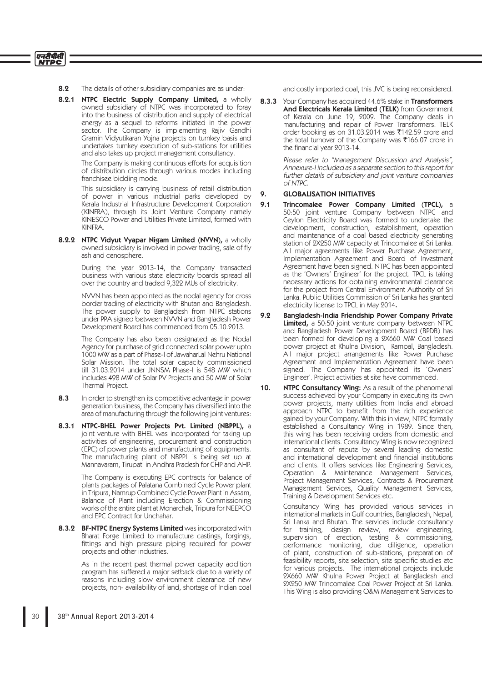8.2 The details of other subsidiary companies are as under:

एनटीपीसी **NTPC** 

> 8.2.1 NTPC Electric Supply Company Limited, a wholly owned subsidiary of NTPC was incorporated to foray into the business of distribution and supply of electrical energy as a sequel to reforms initiated in the power sector. The Company is implementing Rajiv Gandhi Gramin Vidyutikaran Yojna projects on turnkey basis and undertakes turnkey execution of sub-stations for utilities and also takes up project management consultancy.

> > The Company is making continuous efforts for acquisition of distribution circles through various modes including franchisee bidding mode.

> > This subsidiary is carrying business of retail distribution of power in various industrial parks developed by Kerala Industrial Infrastructure Development Corporation (KINFRA), through its Joint Venture Company namely KINESCO Power and Utilities Private Limited, formed with KINFRA.

8.2.2 NTPC Vidyut Vyapar Nigam Limited (NVVN), a wholly owned subsidiary is involved in power trading, sale of fly ash and cenosphere.

> During the year 2013-14, the Company transacted business with various state electricity boards spread all over the country and traded 9,322 MUs of electricity.

> NVVN has been appointed as the nodal agency for cross border trading of electricity with Bhutan and Bangladesh. The power supply to Bangladesh from NTPC stations under PPA signed between NVVN and Bangladesh Power Development Board has commenced from 05.10.2013.

> The Company has also been designated as the Nodal Agency for purchase of grid connected solar power upto 1000 MW as a part of Phase-I of JawaharLal Nehru National Solar Mission. The total solar capacity commissioned till 31.03.2014 under JNNSM Phase-I is 548 MW which includes 498 MW of Solar PV Projects and 50 MW of Solar Thermal Project.

- 8.3 In order to strengthen its competitive advantage in power generation business, the Company has diversified into the area of manufacturing through the following joint ventures:
- 8.3.1 NTPC-BHEL Power Projects Pvt. Limited (NBPPL), a joint venture with BHEL was incorporated for taking up activities of engineering, procurement and construction (EPC) of power plants and manufacturing of equipments. The manufacturing plant of NBPPL is being set up at Mannavaram, Tirupati in Andhra Pradesh for CHP and AHP.

 The Company is executing EPC contracts for balance of plants packages of Palatana Combined Cycle Power plant in Tripura, Namrup Combined Cycle Power Plant in Assam, Balance of Plant including Erection & Commissioning works of the entire plant at Monarchak, Tripura for NEEPCO and EPC Contract for Unchahar.

8.3.2 BF-NTPC Energy Systems Limited was incorporated with Bharat Forge Limited to manufacture castings, forgings, fittings and high pressure piping required for power projects and other industries.

> As in the recent past thermal power capacity addition program has suffered a major setback due to a variety of reasons including slow environment clearance of new projects, non- availability of land, shortage of Indian coal

and costly imported coal, this JVC is being reconsidered.

8.3.3 Your Company has acquired 44.6% stake in Transformers And Electricals Kerala Limited (TELK) from Government of Kerala on June 19, 2009. The Company deals in manufacturing and repair of Power Transformers. TELK order booking as on  $31.03.2014$  was ₹142.59 crore and the total turnover of the Company was  $\bar{\tau}166.07$  crore in the financial year 2013-14.

> Please refer to "Management Discussion and Analysis", Annexure-I included as a separate section to this report for further details of subsidiary and joint venture companies of NTPC.

## 9. GLOBALISATION INITIATIVES

- 9.1 Trincomalee Power Company Limited (TPCL), a 50:50 joint venture Company between NTPC and Ceylon Electricity Board was formed to undertake the development, construction, establishment, operation and maintenance of a coal based electricity generating station of 2X250 MW capacity at Trincomalee at Sri Lanka. All major agreements like Power Purchase Agreement, Implementation Agreement and Board of Investment Agreement have been signed. NTPC has been appointed as the 'Owners' Engineer' for the project. TPCL is taking necessary actions for obtaining environmental clearance for the project from Central Environment Authority of Sri Lanka. Public Utilities Commission of Sri Lanka has granted electricity license to TPCL in May 2014.
- 9.2 Bangladesh-India Friendship Power Company Private Limited, a 50:50 joint venture company between NTPC and Bangladesh Power Development Board (BPDB) has been formed for developing a 2X660 MW Coal based power project at Khulna Division, Rampal, Bangladesh. All major project arrangements like Power Purchase Agreement and Implementation Agreement have been signed. The Company has appointed its 'Owners' Engineer'. Project activities at site have commenced.
- 10. NTPC Consultancy Wing: As a result of the phenomenal success achieved by your Company in executing its own power projects, many utilities from India and abroad approach NTPC to benefit from the rich experience gained by your Company. With this in view, NTPC formally established a Consultancy Wing in 1989. Since then, this wing has been receiving orders from domestic and international clients. Consultancy Wing is now recognized as consultant of repute by several leading domestic and international development and financial institutions and clients. It offers services like Engineering Services, Operation & Maintenance Management Services, Project Management Services, Contracts & Procurement Management Services, Quality Management Services, Training & Development Services etc.

 Consultancy Wing has provided various services in international markets in Gulf countries, Bangladesh, Nepal, Sri Lanka and Bhutan. The services include consultancy for training, design review, review engineering, supervision of erection, testing & commissioning, performance monitoring, due diligence, operation of plant, construction of sub-stations, preparation of feasibility reports, site selection, site specific studies etc for various projects. The international projects include 2X660 MW Khulna Power Project at Bangladesh and 2X250 MW Trincomalee Coal Power Project at Sri Lanka. This Wing is also providing O&M Management Services to

# 30 38<sup>th</sup> Annual Report 2013-2014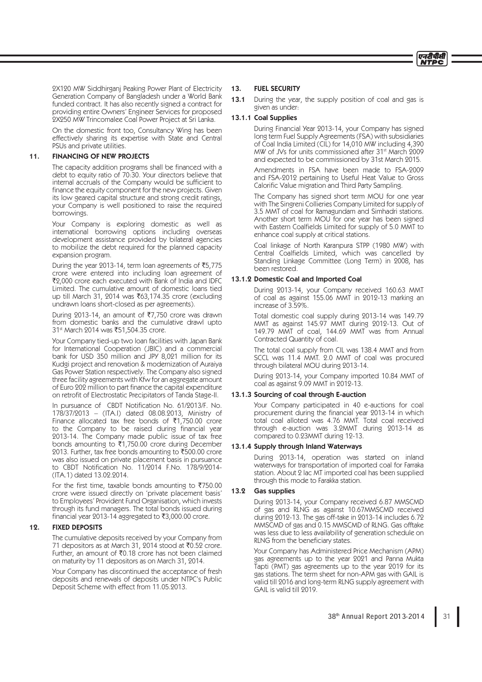

2X120 MW Siddhirganj Peaking Power Plant of Electricity Generation Company of Bangladesh under a World Bank funded contract. It has also recently signed a contract for providing entire Owners' Engineer Services for proposed 2X250 MW Trincomalee Coal Power Project at Sri Lanka.

 On the domestic front too, Consultancy Wing has been effectively sharing its expertise with State and Central PSUs and private utilities.

# 11. FINANCING OF NEW PROJECTS

The capacity addition programs shall be financed with a debt to equity ratio of 70:30. Your directors believe that internal accruals of the Company would be sufficient to finance the equity component for the new projects. Given its low geared capital structure and strong credit ratings, your Company is well positioned to raise the required borrowings.

 Your Company is exploring domestic as well as international borrowing options including overseas development assistance provided by bilateral agencies to mobilize the debt required for the planned capacity expansion program.

During the year 2013-14, term loan agreements of  $\overline{5}5,775$ crore were entered into including loan agreement of `2,000 crore each executed with Bank of India and IDFC Limited. The cumulative amount of domestic loans tied up till March 31, 2014 was ₹63,174.35 crore (excluding undrawn loans short-closed as per agreements).

During 2013-14, an amount of ₹7,750 crore was drawn from domestic banks and the cumulative drawl upto 31<sup>st</sup> March 2014 was ₹51,504.35 crore.

 Your Company tied-up two loan facilities with Japan Bank for International Cooperation (JBIC) and a commercial bank for USD 350 million and JPY 8,021 million for its Kudgi project and renovation & modernization of Auraiya Gas Power Station respectively. The Company also signed three facility agreements with Kfw for an aggregate amount of Euro 202 million to part finance the capital expenditure on retrofit of Electrostatic Precipitators of Tanda Stage-II.

In pursuance of CBDT Notification No. 61/2013/F. No. 178/37/2013 – (ITA.I) dated 08.08.2013, Ministry of Finance allocated tax free bonds of  $\overline{51,750.00}$  crore to the Company to be raised during financial year 2013-14. The Company made public issue of tax free bonds amounting to  $\overline{\tau}$ 1,750.00 crore during December 2013. Further, tax free bonds amounting to  $\overline{5}500.00$  crore was also issued on private placement basis in pursuance to CBDT Notification No. 11/2014 F.No. 178/9/2014-(ITA.1) dated 13.02.2014.

For the first time, taxable bonds amounting to  $\overline{7}750.00$ crore were issued directly on 'private placement basis' to Employees' Provident Fund Organisation, which invests through its fund managers. The total bonds issued during financial year 2013-14 aggregated to  $\overline{3}3,000.00$  crore.

# 12. FIXED DEPOSITS

 The cumulative deposits received by your Company from 71 depositors as at March 31, 2014 stood at  $\bar{x}$ 0.52 crore. Further, an amount of  $\bar{\tau}$ 0.18 crore has not been claimed on maturity by 11 depositors as on March 31, 2014.

 Your Company has discontinued the acceptance of fresh deposits and renewals of deposits under NTPC's Public Deposit Scheme with effect from 11.05.2013.

### 13. FUEL SECURITY

### 13.1.1 Coal Supplies

 During Financial Year 2013-14, your Company has signed long term Fuel Supply Agreements (FSA) with subsidiaries of Coal India Limited (CIL) for 14,010 MW including 4,390 MW of JVs for units commissioned after 31<sup>st</sup> March 2009 and expected to be commissioned by 31st March 2015.

 Amendments in FSA have been made to FSA-2009 and FSA-2012 pertaining to Useful Heat Value to Gross Calorific Value migration and Third Party Sampling.

 The Company has signed short term MOU for one year with The Singreni Collieries Company Limited for supply of 3.5 MMT of coal for Ramagundam and Simhadri stations. Another short term MOU for one year has been signed with Eastern Coalfields Limited for supply of 5.0 MMT to enhance coal supply at critical stations.

 Coal linkage of North Karanpura STPP (1980 MW) with Central Coalfields Limited, which was cancelled by Standing Linkage Committee (Long Term) in 2008, has been restored.

### 13.1.2 Domestic Coal and Imported Coal

 During 2013-14, your Company received 160.63 MMT of coal as against 155.06 MMT in 2012-13 marking an increase of 3.59%.

 Total domestic coal supply during 2013-14 was 149.79 MMT as against 145.97 MMT during 2012-13. Out of 149.79 MMT of coal, 144.69 MMT was from Annual Contracted Quantity of coal.

 The total coal supply from CIL was 138.4 MMT and from SCCL was 11.4 MMT. 2.0 MMT of coal was procured through bilateral MOU during 2013-14.

 During 2013-14, your Company imported 10.84 MMT of coal as against 9.09 MMT in 2012-13.

#### 13.1.3 Sourcing of coal through E-auction

 Your Company participated in 40 e-auctions for coal procurement during the financial year 2013-14 in which total coal alloted was 4.76 MMT. Total coal received through e-auction was 3.2MMT during 2013-14 as compared to 0.23MMT during 12-13.

### 13.1.4 Supply through Inland Waterways

 During 2013-14, operation was started on inland waterways for transportation of imported coal for Farraka station. About 2 lac MT imported coal has been supplied through this mode to Farakka station.

# 13.2 Gas supplies

 During 2013-14, your Company received 6.87 MMSCMD of gas and RLNG as against 10.67MMSCMD received during 2012-13. The gas off-take in 2013-14 includes 6.72 MMSCMD of gas and 0.15 MMSCMD of RLNG. Gas offtake was less due to less availability of generation schedule on RLNG from the beneficiary states.

 Your Company has Administered Price Mechanism (APM) gas agreements up to the year 2021 and Panna Mukta Tapti (PMT) gas agreements up to the year 2019 for its gas stations. The term sheet for non-APM gas with GAIL is valid till 2016 and long-term RLNG supply agreement with GAIL is valid till 2019.

<sup>13.1</sup> During the year, the supply position of coal and gas is given as under: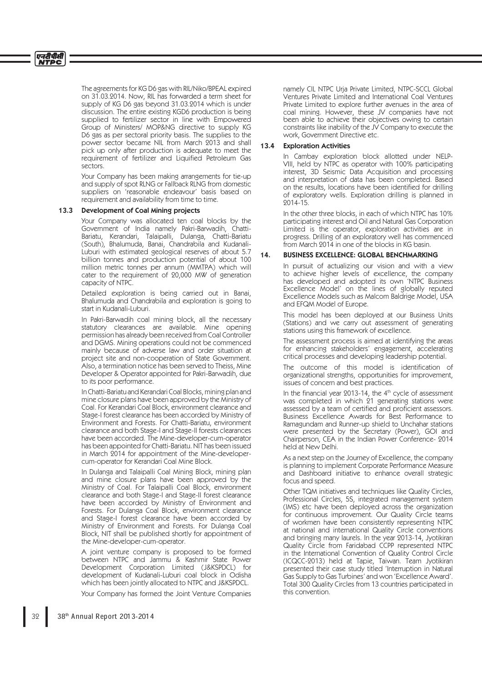The agreements for KG D6 gas with RIL/Niko/BPEAL expired on 31.03.2014. Now, RIL has forwarded a term sheet for supply of KG D6 gas beyond 31.03.2014 which is under discussion. The entire existing KGD6 production is being supplied to fertilizer sector in line with Empowered Group of Ministers/ MOP&NG directive to supply KG D6 gas as per sectoral priority basis. The supplies to the power sector became NIL from March 2013 and shall pick up only after production is adequate to meet the requirement of fertilizer and Liquified Petroleum Gas sectors.

 Your Company has been making arrangements for tie-up and supply of spot RLNG or Fallback RLNG from domestic suppliers on 'reasonable endeavour' basis based on requirement and availability from time to time.

### 13.3 Development of Coal Mining projects

 Your Company was allocated ten coal blocks by the Government of India namely Pakri-Barwadih, Chatti-Bariatu, Kerandari, Talaipalli, Dulanga, Chatti-Bariatu (South), Bhalumuda, Banai, Chandrabila and Kudanali-Luburi with estimated geological reserves of about 5.7 billion tonnes and production potential of about 100 million metric tonnes per annum (MMTPA) which will cater to the requirement of 20,000 MW of generation capacity of NTPC.

 Detailed exploration is being carried out in Banai, Bhalumuda and Chandrabila and exploration is going to start in Kudanali-Luburi.

 In Pakri-Barwadih coal mining block, all the necessary statutory clearances are available. Mine opening permission has already been received from Coal Controller and DGMS. Mining operations could not be commenced mainly because of adverse law and order situation at project site and non-cooperation of State Government. Also, a termination notice has been served to Theiss, Mine Developer & Operator appointed for Pakri-Barwadih, due to its poor performance.

 In Chatti-Bariatu and Kerandari Coal Blocks, mining plan and mine closure plans have been approved by the Ministry of Coal. For Kerandari Coal Block, environment clearance and Stage-I forest clearance has been accorded by Ministry of Environment and Forests. For Chatti-Bariatu, environment clearance and both Stage-I and Stage-II forests clearances have been accorded. The Mine-developer-cum-operator has been appointed for Chatti-Bariatu. NIT has been issued in March 2014 for appointment of the Mine-developercum-operator for Kerandari Coal Mine Block.

 In Dulanga and Talaipalli Coal Mining Block, mining plan and mine closure plans have been approved by the Ministry of Coal. For Talaipalli Coal Block, environment clearance and both Stage-I and Stage-II forest clearance have been accorded by Ministry of Environment and Forests. For Dulanga Coal Block, environment clearance and Stage-I forest clearance have been accorded by Ministry of Environment and Forests. For Dulanga Coal Block, NIT shall be published shortly for appointment of the Mine-developer-cum-operator.

 A joint venture company is proposed to be formed between NTPC and Jammu & Kashmir State Power Development Corporation Limited (J&KSPDCL) for development of Kudanali-Luburi coal block in Odisha which has been jointly allocated to NTPC and J&KSPDCL.

Your Company has formed the Joint Venture Companies

namely CIL NTPC Urja Private Limited, NTPC-SCCL Global Ventures Private Limited and International Coal Ventures Private Limited to explore further avenues in the area of coal mining. However, these JV companies have not been able to achieve their objectives owing to certain constraints like inability of the JV Company to execute the work, Government Directive etc.

# 13.4 Exploration Activities

 In Cambay exploration block allotted under NELP-VIII, held by NTPC as operator with 100% participating interest, 3D Seismic Data Acquisition and processing and interpretation of data has been completed. Based on the results, locations have been identified for drilling of exploratory wells. Exploration drilling is planned in 2014-15.

 In the other three blocks, in each of which NTPC has 10% participating interest and Oil and Natural Gas Corporation Limited is the operator, exploration activities are in progress. Drilling of an exploratory well has commenced from March 2014 in one of the blocks in KG basin.

#### 14. BUSINESS EXCELLENCE: GLOBAL BENCHMARKING

 In pursuit of actualizing our vision and with a view to achieve higher levels of excellence, the company has developed and adopted its own 'NTPC Business Excellence Model' on the lines of globally reputed Excellence Models such as Malcom Baldrige Model, USA and EFQM Model of Europe.

 This model has been deployed at our Business Units (Stations) and we carry out assessment of generating stations using this framework of excellence.

 The assessment process is aimed at identifying the areas for enhancing stakeholders' engagement, accelerating critical processes and developing leadership potential.

The outcome of this model is identification of organizational strengths, opportunities for improvement, issues of concern and best practices.

In the financial year 2013-14, the  $4<sup>th</sup>$  cycle of assessment was completed in which 21 generating stations were assessed by a team of certified and proficient assessors. Business Excellence Awards for Best Performance to Ramagundam and Runner-up shield to Unchahar stations were presented by the Secretary (Power), GOI and Chairperson, CEA in the Indian Power Conference- 2014 held at New Delhi.

 As a next step on the Journey of Excellence, the company is planning to implement Corporate Performance Measure and Dashboard initiative to enhance overall strategic focus and speed.

 Other TQM initiatives and techniques like Quality Circles, Professional Circles, 5S, integrated management system (IMS) etc have been deployed across the organization for continuous improvement. Our Quality Circle teams of workmen have been consistently representing NTPC at national and international Quality Circle conventions and bringing many laurels. In the year 2013-14, Jyotikiran Quality Circle from Faridabad CCPP represented NTPC in the International Convention of Quality Control Circle (ICQCC-2013) held at Tapie, Taiwan. Team Jyotikiran presented their case study titled 'Interruption in Natural Gas Supply to Gas Turbines' and won 'Excellence Award'. Total 300 Quality Circles from 13 countries participated in this convention.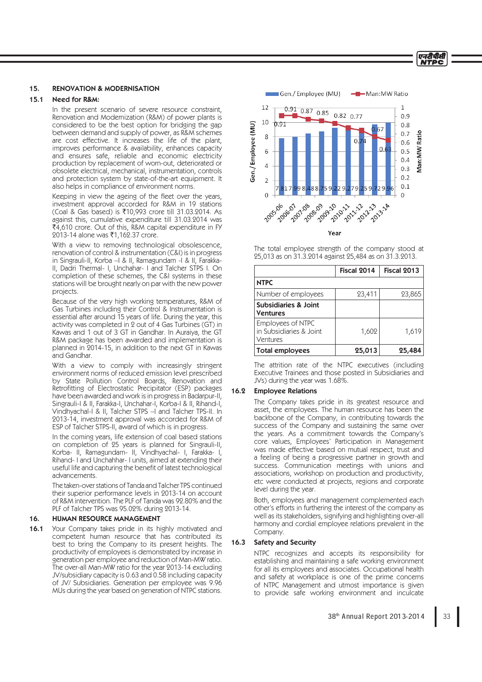#### एनटीपीसी **NTDC**

# 15. RENOVATION & MODERNISATION

#### 15.1 Need for R&M:

 In the present scenario of severe resource constraint, Renovation and Modernization (R&M) of power plants is considered to be the best option for bridging the gap between demand and supply of power, as R&M schemes are cost effective. It increases the life of the plant, improves performance & availability, enhances capacity and ensures safe, reliable and economic electricity production by replacement of worn-out, deteriorated or obsolete electrical, mechanical, instrumentation, controls and protection system by state-of-the-art equipment. It also helps in compliance of environment norms.

Keeping in view the ageing of the fleet over the years, investment approval accorded for R&M in 19 stations (Coal & Gas based) is `10,993 crore till 31.03.2014. As against this, cumulative expenditure till 31.03.2014 was  $\bar{f}4.610$  crore. Out of this, R&M capital expenditure in FY 2013-14 alone was ₹1,162.37 crore.

 With a view to removing technological obsolescence, renovation of control & instrumentation (C&I) is in progress in Singrauli-II, Korba –I & II, Ramagundam -I & II, Farakka-II, Dadri Thermal- I, Unchahar- I and Talcher STPS I. On completion of these schemes, the C&I systems in these stations will be brought nearly on par with the new power projects.

 Because of the very high working temperatures, R&M of Gas Turbines including their Control & Instrumentation is essential after around 15 years of life. During the year, this activity was completed in 2 out of 4 Gas Turbines (GT) in Kawas and 1 out of 3 GT in Gandhar. In Auraiya, the GT R&M package has been awarded and implementation is planned in 2014-15, in addition to the next GT in Kawas and Gandhar.

With a view to comply with increasingly stringent environment norms of reduced emission level prescribed by State Pollution Control Boards, Renovation and Retrofitting of Electrostatic Precipitator (ESP) packages have been awarded and work is in progress in Badarpur-II, Singrauli-I & II, Farakka-I, Unchahar-I, Korba-I & II, Rihand-I, Vindhyachal-I & II, Talcher STPS –I and Talcher TPS-II. In 2013-14, investment approval was accorded for R&M of ESP of Talcher STPS-II, award of which is in progress.

 In the coming years, life extension of coal based stations on completion of 25 years is planned for Singrauli-II, Korba- II, Ramagundam- II, Vindhyachal- I, Farakka- I, Rihand- I and Unchahhar- I units, aimed at extending their useful life and capturing the benefit of latest technological advancements.

> The taken-over stations of Tanda and Talcher TPS continued their superior performance levels in 2013-14 on account of R&M intervention. The PLF of Tanda was 92.80% and the PLF of Talcher TPS was 95.02% during 2013-14.

# 16. HUMAN RESOURCE MANAGEMENT

16.1 Your Company takes pride in its highly motivated and competent human resource that has contributed its best to bring the Company to its present heights. The productivity of employees is demonstrated by increase in generation per employee and reduction of Man-MW ratio. The over-all Man-MW ratio for the year 2013-14 excluding JV/subsidiary capacity is 0.63 and 0.58 including capacity of JV/ Subsidiaries. Generation per employee was 9.96 MUs during the year based on generation of NTPC stations.



 The total employee strength of the company stood at 25,013 as on 31.3.2014 against 25,484 as on 31.3.2013.

|                                                          | Fiscal 2014 | <b>Fiscal 2013</b> |
|----------------------------------------------------------|-------------|--------------------|
| <b>NTPC</b>                                              |             |                    |
| Number of employees                                      | 23,411      | 23,865             |
| Subsidiaries & Joint<br><b>Ventures</b>                  |             |                    |
| Employees of NTPC<br>in Subsidiaries & Joint<br>Ventures | 1,602       | 1,619              |
| <b>Total employees</b>                                   | 25,013      | 25,484             |

 The attrition rate of the NTPC executives (including Executive Trainees and those posted in Subsidiaries and JVs) during the year was 1.68%.

# 16.2 Employee Relations

 The Company takes pride in its greatest resource and asset, the employees. The human resource has been the backbone of the Company, in contributing towards the success of the Company and sustaining the same over the years. As a commitment towards the Company's core values, Employees' Participation in Management was made effective based on mutual respect, trust and a feeling of being a progressive partner in growth and success. Communication meetings with unions and associations, workshop on production and productivity, etc were conducted at projects, regions and corporate level during the year.

 Both, employees and management complemented each other's efforts in furthering the interest of the company as well as its stakeholders, signifying and highlighting over-all harmony and cordial employee relations prevalent in the Company.

#### 16.3 Safety and Security

 NTPC recognizes and accepts its responsibility for establishing and maintaining a safe working environment for all its employees and associates. Occupational health and safety at workplace is one of the prime concerns of NTPC Management and utmost importance is given to provide safe working environment and inculcate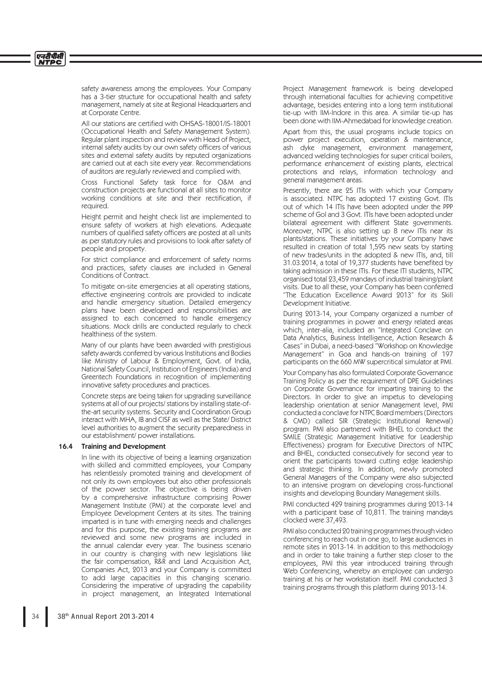safety awareness among the employees. Your Company has a 3-tier structure for occupational health and safety management, namely at site at Regional Headquarters and at Corporate Centre.

All our stations are certified with OHSAS-18001/IS-18001 (Occupational Health and Safety Management System). Regular plant inspection and review with Head of Project, internal safety audits by our own safety officers of various sites and external safety audits by reputed organizations are carried out at each site every year. Recommendations of auditors are regularly reviewed and complied with.

 Cross Functional Safety task force for O&M and construction projects are functional at all sites to monitor working conditions at site and their rectification, if required.

 Height permit and height check list are implemented to ensure safety of workers at high elevations. Adequate numbers of qualified safety officers are posted at all units as per statutory rules and provisions to look after safety of people and property.

 For strict compliance and enforcement of safety norms and practices, safety clauses are included in General Conditions of Contract.

 To mitigate on-site emergencies at all operating stations, effective engineering controls are provided to indicate and handle emergency situation. Detailed emergency plans have been developed and responsibilities are assigned to each concerned to handle emergency situations. Mock drills are conducted regularly to check healthiness of the system.

 Many of our plants have been awarded with prestigious safety awards conferred by various Institutions and Bodies like Ministry of Labour & Employment, Govt. of India, National Safety Council, Institution of Engineers (India) and Greentech Foundations in recognition of implementing innovative safety procedures and practices.

 Concrete steps are being taken for upgrading surveillance systems at all of our projects/ stations by installing state-ofthe-art security systems. Security and Coordination Group interact with MHA, IB and CISF as well as the State/ District level authorities to augment the security preparedness in our establishment/ power installations.

# 16.4 Training and Development

 In line with its objective of being a learning organization with skilled and committed employees, your Company has relentlessly promoted training and development of not only its own employees but also other professionals of the power sector. The objective is being driven by a comprehensive infrastructure comprising Power Management Institute (PMI) at the corporate level and Employee Development Centers at its sites. The training imparted is in tune with emerging needs and challenges and for this purpose, the existing training programs are reviewed and some new programs are included in the annual calendar every year. The business scenario in our country is changing with new legislations like the fair compensation, R&R and Land Acquisition Act, Companies Act, 2013 and your Company is committed to add large capacities in this changing scenario. Considering the imperative of upgrading the capability in project management, an Integrated International

Project Management framework is being developed through international faculties for achieving competitive advantage, besides entering into a long term institutional tie-up with IIM-Indore in this area. A similar tie-up has been done with IIM-Ahmedabad for knowledge creation.

 Apart from this, the usual programs include topics on power project execution, operation & maintenance, ash dyke management, environment management, advanced welding technologies for super critical boilers, performance enhancement of existing plants, electrical protections and relays, information technology and general management areas.

 Presently, there are 25 ITIs with which your Company is associated. NTPC has adopted 17 existing Govt. ITIs out of which 14 ITIs have been adopted under the PPP scheme of GoI and 3 Govt. ITIs have been adopted under bilateral agreement with different State governments. Moreover, NTPC is also setting up 8 new ITIs near its plants/stations. These initiatives by your Company have resulted in creation of total 1,595 new seats by starting of new trades/units in the adopted & new ITIs, and, till 31.03.2014, a total of 19,377 students have benefited by taking admission in these ITIs. For these ITI students, NTPC organised total 23,459 mandays of industrial training/plant visits. Due to all these, your Company has been conferred "The Education Excellence Award 2013" for its Skill Development Initiative.

 During 2013-14, your Company organized a number of training programmes in power and energy related areas which, inter-alia, included an "Integrated Conclave on Data Analytics, Business Intelligence, Action Research & Cases" in Dubai, a need-based "Workshop on Knowledge Management" in Goa and hands-on training of 197 participants on the 660 MW supercritical simulator at PMI.

 Your Company has also formulated Corporate Governance Training Policy as per the requirement of DPE Guidelines on Corporate Governance for imparting training to the Directors. In order to give an impetus to developing leadership orientation at senior Management level, PMI conducted a conclave for NTPC Board members (Directors & CMD) called SIR (Strategic Institutional Renewal) program. PMI also partnered with BHEL to conduct the SMILE (Strategic Management Initiative for Leadership Effectiveness) program for Executive Directors of NTPC and BHEL, conducted consecutively for second year to orient the participants toward cutting edge leadership and strategic thinking. In addition, newly promoted General Managers of the Company were also subjected to an intensive program on developing cross-functional insights and developing Boundary Management skills.

 PMI conducted 429 training programmes during 2013-14 with a participant base of 10,811. The training mandays clocked were 37,493.

 PMI also conducted 20 training programmes through video conferencing to reach out in one go, to large audiences in remote sites in 2013-14. In addition to this methodology and in order to take training a further step closer to the employees, PMI this year introduced training through Web Conferencing, whereby an employee can undergo training at his or her workstation itself. PMI conducted 3 training programs through this platform during 2013-14.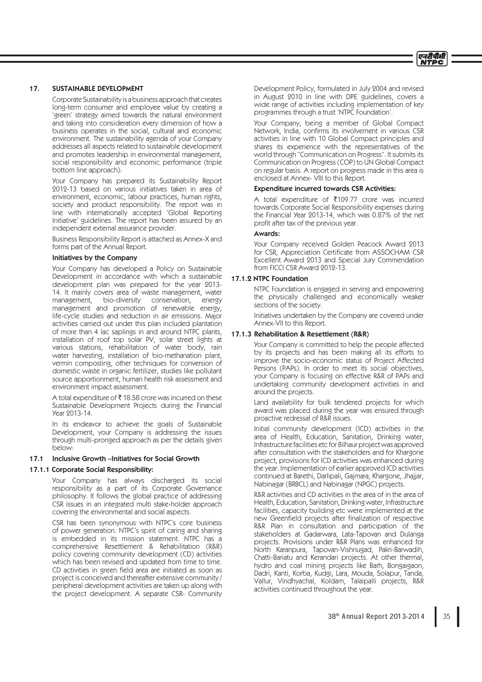

## 17. SUSTAINABLE DEVELOPMENT

 Corporate Sustainability is a business approach that creates long-term consumer and employee value by creating a 'green' strategy aimed towards the natural environment and taking into consideration every dimension of how a business operates in the social, cultural and economic environment. The sustainability agenda of your Company addresses all aspects related to sustainable development and promotes leadership in environmental management, social responsibility and economic performance (triple bottom line approach).

 Your Company has prepared its Sustainability Report 2012-13 based on various initiatives taken in area of environment, economic, labour practices, human rights, society and product responsibility. The report was in line with internationally accepted 'Global Reporting Initiative' guidelines. The report has been assured by an independent external assurance provider.

 Business Responsibility Report is attached as Annex-X and forms part of the Annual Report.

# Initiatives by the Company

 Your Company has developed a Policy on Sustainable Development in accordance with which a sustainable development plan was prepared for the year 2013- 14. It mainly covers area of waste management, water management, bio-diversity conservation, energy management and promotion of renewable energy, life-cycle studies and reduction in air emissions. Major activities carried out under this plan included plantation of more than 4 lac saplings in and around NTPC plants, installation of roof top solar PV, solar street lights at various stations, rehabilitation of water body, rain water harvesting, installation of bio-methanation plant, vermin composting, other techniques for conversion of domestic waste in organic fertilizer, studies like pollutant source apportionment, human health risk assessment and environment impact assessment.

A total expenditure of  $\bar{\tau}$  18.58 crore was incurred on these Sustainable Development Projects during the Financial Year 2013-14.

 In its endeavor to achieve the goals of Sustainable Development, your Company is addressing the issues through multi-pronged approach as per the details given below:

# 17.1 Inclusive Growth –Initiatives for Social Growth

#### 17.1.1 Corporate Social Responsibility:

 Your Company has always discharged its social responsibility as a part of its Corporate Governance philosophy. It follows the global practice of addressing CSR issues in an integrated multi stake-holder approach covering the environmental and social aspects.

 CSR has been synonymous with NTPC's core business of power generation. NTPC's spirit of caring and sharing is embedded in its mission statement. NTPC has a comprehensive Resettlement & Rehabilitation (R&R) policy covering community development (CD) activities which has been revised and updated from time to time. CD activities in green field area are initiated as soon as project is conceived and thereafter extensive community / peripheral development activities are taken up along with the project development. A separate CSR- Community Development Policy, formulated in July 2004 and revised in August 2010 in line with DPE guidelines, covers a wide range of activities including implementation of key programmes through a trust 'NTPC Foundation'.

 Your Company, being a member of Global Compact Network, India, confirms its involvement in various CSR activities in line with 10 Global Compact principles and shares its experience with the representatives of the world through "Communication on Progress". It submits its Communication on Progress (COP) to UN Global Compact on regular basis. A report on progress made in this area is enclosed at Annex- VIII to this Report.

### Expenditure incurred towards CSR Activities:

A total expenditure of  $\overline{\xi}$ 109.77 crore was incurred towards Corporate Social Responsibility expenses during the Financial Year 2013-14, which was 0.87% of the net profit after tax of the previous year.

# Awards:

 Your Company received Golden Peacock Award 2013 for CSR, Appreciation Certificate from ASSOCHAM CSR Excellent Award 2013 and Special Jury Commendation from FICCI CSR Award 2012-13.

# 17.1.2 NTPC Foundation

 NTPC Foundation is engaged in serving and empowering the physically challenged and economically weaker sections of the society.

 Initiatives undertaken by the Company are covered under Annex-VII to this Report.

### 17.1.3 Rehabilitation & Resettlement (R&R)

 Your Company is committed to help the people affected by its projects and has been making all its efforts to improve the socio-economic status of Project Affected Persons (PAPs). In order to meet its social objectives, your Company is focusing on effective R&R of PAPs and undertaking community development activities in and around the projects.

 Land availability for bulk tendered projects for which award was placed during the year was ensured through proactive redressal of R&R issues.

 Initial community development (ICD) activities in the area of Health, Education, Sanitation, Drinking water, Infrastructure facilities etc for Bilhaur project was approved after consultation with the stakeholders and for Khargone project, provisions for ICD activities was enhanced during the year. Implementation of earlier approved ICD activities continued at Barethi, Darlipali, Gajmara, Khargone, Jhajjar, Nabinagar (BRBCL) and Nabinagar (NPGC) projects.

 R&R activities and CD activities in the area of in the area of Health, Education, Sanitation, Drinking water, Infrastructure facilities, capacity building etc were implemented at the new Greenfield projects after finalization of respective R&R Plan in consultation and participation of the stakeholders at Gadarwara, Lata-Tapovan and Dulanga projects. Provisions under R&R Plans was enhanced for North Karanpura, Tapovan-Vishnugad, Pakri-Barwadih, Chatti-Bariatu and Kerandari projects. At other thermal, hydro and coal mining projects like Barh, Bongaigaon, Dadri, Kanti, Korba, Kudgi, Lara, Mouda, Solapur, Tanda, Vallur, Vindhyachal, Koldam, Talaipalli projects, R&R activities continued throughout the year.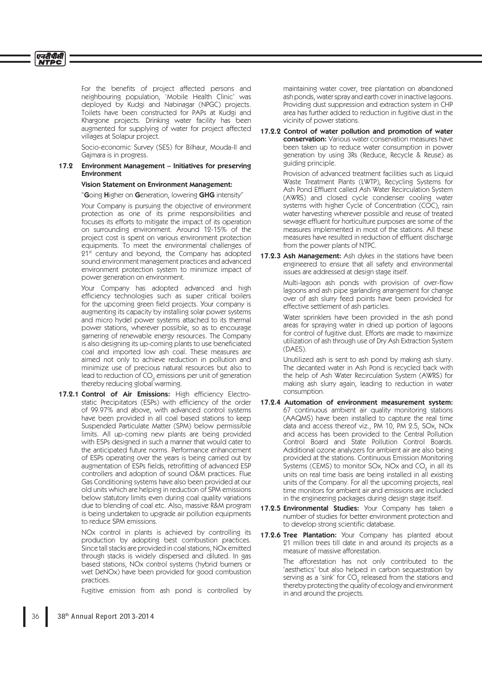For the benefits of project affected persons and neighbouring population, 'Mobile Health Clinic' was deployed by Kudgi and Nabinagar (NPGC) projects. Toilets have been constructed for PAPs at Kudgi and Khargone projects. Drinking water facility has been augmented for supplying of water for project affected villages at Solapur project.

 Socio-economic Survey (SES) for Bilhaur, Mouda-II and Gajmara is in progress.

# 17.2 Environment Management – Initiatives for preserving Environment

# Vision Statement on Environment Management:

"Going Higher on Generation, lowering GHG intensity'

 Your Company is pursuing the objective of environment protection as one of its prime responsibilities and focuses its efforts to mitigate the impact of its operation on surrounding environment. Around 12-15% of the project cost is spent on various environment protection equipments. To meet the environmental challenges of 21<sup>st</sup> century and beyond, the Company has adopted sound environment management practices and advanced environment protection system to minimize impact of power generation on environment.

 Your Company has adopted advanced and high efficiency technologies such as super critical boilers for the upcoming green field projects. Your company is augmenting its capacity by installing solar power systems and micro hydel power systems attached to its thermal power stations, wherever possible, so as to encourage garnering of renewable energy resources. The Company is also designing its up-coming plants to use beneficiated coal and imported low ash coal. These measures are aimed not only to achieve reduction in pollution and minimize use of precious natural resources but also to lead to reduction of CO<sub>2</sub> emissions per unit of generation thereby reducing global warming.

17.2.1 Control of Air Emissions: High efficiency Electrostatic Precipitators (ESPs) with efficiency of the order of 99.97% and above, with advanced control systems have been provided in all coal based stations to keep Suspended Particulate Matter (SPM) below permissible limits. All up-coming new plants are being provided with ESPs designed in such a manner that would cater to the anticipated future norms. Performance enhancement of ESPs operating over the years is being carried out by augmentation of ESPs fields, retrofitting of advanced ESP controllers and adoption of sound O&M practices. Flue Gas Conditioning systems have also been provided at our old units which are helping in reduction of SPM emissions below statutory limits even during coal quality variations due to blending of coal etc. Also, massive R&M program is being undertaken to upgrade air pollution equipments to reduce SPM emissions.

> NOx control in plants is achieved by controlling its production by adopting best combustion practices. Since tall stacks are provided in coal stations, NOx emitted through stacks is widely dispersed and diluted. In gas based stations, NOx control systems (hybrid burners or wet DeNOx) have been provided for good combustion practices.

> Fugitive emission from ash pond is controlled by

maintaining water cover, tree plantation on abandoned ash ponds, water spray and earth cover in inactive lagoons. Providing dust suppression and extraction system in CHP area has further added to reduction in fugitive dust in the vicinity of power stations.

17.2.2 Control of water pollution and promotion of water conservation: Various water conservation measures have been taken up to reduce water consumption in power generation by using 3Rs (Reduce, Recycle & Reuse) as guiding principle.

> Provision of advanced treatment facilities such as Liquid Waste Treatment Plants (LWTP), Recycling Systems for Ash Pond Effluent called Ash Water Recirculation System (AWRS) and closed cycle condenser cooling water systems with higher Cycle of Concentration (COC), rain water harvesting wherever possible and reuse of treated sewage effluent for horticulture purposes are some of the measures implemented in most of the stations. All these measures have resulted in reduction of effluent discharge from the power plants of NTPC.

17.2.3 Ash Management: Ash dykes in the stations have been engineered to ensure that all safety and environmental issues are addressed at design stage itself.

> Multi-lagoon ash ponds with provision of over-flow lagoons and ash pipe garlanding arrangement for change over of ash slurry feed points have been provided for effective settlement of ash particles.

> Water sprinklers have been provided in the ash pond areas for spraying water in dried up portion of lagoons for control of fugitive dust. Efforts are made to maximize utilization of ash through use of Dry Ash Extraction System (DAES).

> Unutilized ash is sent to ash pond by making ash slurry. The decanted water in Ash Pond is recycled back with the help of Ash Water Recirculation System (AWRS) for making ash slurry again, leading to reduction in water consumption.

- 17.2.4 Automation of environment measurement system: 67 continuous ambient air quality monitoring stations (AAQMS) have been installed to capture the real time data and access thereof viz., PM 10, PM 2.5, SOx, NOx and access has been provided to the Central Pollution Control Board and State Pollution Control Boards. Additional ozone analyzers for ambient air are also being provided at the stations. Continuous Emission Monitoring Systems (CEMS) to monitor SOx, NOx and CO $_{\textrm{\tiny{\it{2}}} }$  in all its units on real time basis are being installed in all existing units of the Company. For all the upcoming projects, real time monitors for ambient air and emissions are included in the engineering packages during design stage itself.
- 17.2.5 Environmental Studies: Your Company has taken a number of studies for better environment protection and to develop strong scientific database.
- 17.2.6 Tree Plantation: Your Company has planted about 21 million trees till date in and around its projects as a measure of massive afforestation.

 The afforestation has not only contributed to the 'aesthetics' but also helped in carbon sequestration by serving as a 'sink' for CO<sub>2</sub> released from the stations and thereby protecting the quality of ecology and environment in and around the projects.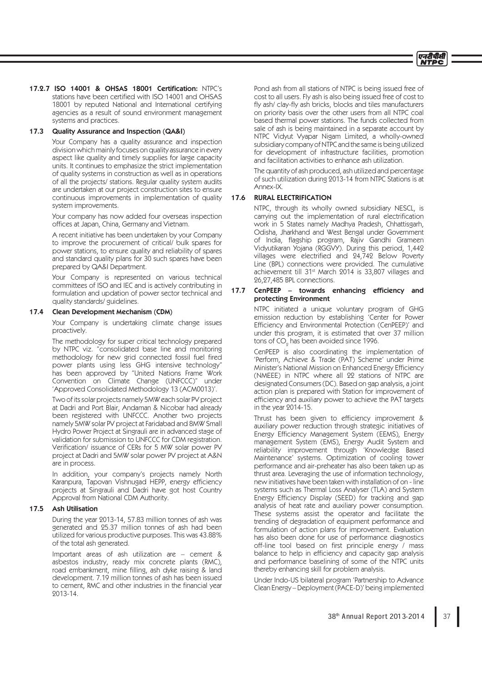

### 17.2.7 ISO 14001 & OHSAS 18001 Certification: NTPC's stations have been certified with ISO 14001 and OHSAS 18001 by reputed National and International certifying agencies as a result of sound environment management systems and practices.

## 17.3 Quality Assurance and Inspection (QA&I)

 Your Company has a quality assurance and inspection division which mainly focuses on quality assurance in every aspect like quality and timely supplies for large capacity units. It continues to emphasize the strict implementation of quality systems in construction as well as in operations of all the projects/ stations. Regular quality system audits are undertaken at our project construction sites to ensure continuous improvements in implementation of quality system improvements.

 Your company has now added four overseas inspection offices at Japan, China, Germany and Vietnam.

 A recent initiative has been undertaken by your Company to improve the procurement of critical/ bulk spares for power stations, to ensure quality and reliability of spares and standard quality plans for 30 such spares have been prepared by QA&I Department.

 Your Company is represented on various technical committees of ISO and IEC and is actively contributing in formulation and updation of power sector technical and quality standards/ guidelines.

### 17.4 Clean Development Mechanism (CDM)

 Your Company is undertaking climate change issues proactively.

 The methodology for super critical technology prepared by NTPC viz. "consolidated base line and monitoring methodology for new grid connected fossil fuel fired power plants using less GHG intensive technology" has been approved by "United Nations Frame Work Convention on Climate Change (UNFCCC)" under 'Approved Consolidated Methodology 13 (ACM0013)'.

 Two of its solar projects namely 5MW each solar PV project at Dadri and Port Blair, Andaman & Nicobar had already been registered with UNFCCC. Another two projects namely 5MW solar PV project at Faridabad and 8MW Small Hydro Power Project at Singrauli are in advanced stage of validation for submission to UNFCCC for CDM registration. Verification/ issuance of CERs for 5 MW solar power PV project at Dadri and 5MW solar power PV project at A&N are in process.

 In addition, your company's projects namely North Karanpura, Tapovan Vishnugad HEPP, energy efficiency projects at Singrauli and Dadri have got host Country Approval from National CDM Authority.

### 17.5 Ash Utilisation

 During the year 2013-14, 57.83 million tonnes of ash was generated and 25.37 million tonnes of ash had been utilized for various productive purposes. This was 43.88% of the total ash generated.

 Important areas of ash utilization are – cement & asbestos industry, ready mix concrete plants (RMC), road embankment, mine filling, ash dyke raising & land development. 7.19 million tonnes of ash has been issued to cement, RMC and other industries in the financial year 2013-14.

 Pond ash from all stations of NTPC is being issued free of cost to all users. Fly ash is also being issued free of cost to fly ash/ clay-fly ash bricks, blocks and tiles manufacturers on priority basis over the other users from all NTPC coal based thermal power stations. The funds collected from sale of ash is being maintained in a separate account by NTPC Vidyut Vyapar Nigam Limited, a wholly-owned subsidiary company of NTPC and the same is being utilized for development of infrastructure facilities, promotion and facilitation activities to enhance ash utilization.

 The quantity of ash produced, ash utilized and percentage of such utilization during 2013-14 from NTPC Stations is at Annex-IX.

# 17.6 RURAL ELECTRIFICATION

 NTPC, through its wholly owned subsidiary NESCL, is carrying out the implementation of rural electrification work in 5 States namely Madhya Pradesh, Chhattisgarh, Odisha, Jharkhand and West Bengal under Government of India, flagship program, Rajiv Gandhi Grameen Vidyutikaran Yojana (RGGVY). During this period, 1,442 villages were electrified and 24,742 Below Poverty Line (BPL) connections were provided. The cumulative achievement till 31st March 2014 is 33,807 villages and 26,27,485 BPL connections.

# 17.7 CenPEEP – towards enhancing efficiency and protecting Environment

 NTPC initiated a unique voluntary program of GHG emission reduction by establishing 'Center for Power Efficiency and Environmental Protection (CenPEEP)' and under this program, it is estimated that over 37 million tons of CO $_{\textrm{\tiny{\textrm{2}}}}$  has been avoided since 1996.

> CenPEEP is also coordinating the implementation of 'Perform, Achieve & Trade (PAT) Scheme' under Prime Minister's National Mission on Enhanced Energy Efficiency (NMEEE) in NTPC where all 22 stations of NTPC are designated Consumers (DC). Based on gap analysis, a joint action plan is prepared with Station for improvement of efficiency and auxiliary power to achieve the PAT targets in the year 2014-15.

> Thrust has been given to efficiency improvement & auxiliary power reduction through strategic initiatives of Energy Efficiency Management System (EEMS), Energy management System (EMS), Energy Audit System and reliability improvement through 'Knowledge Based Maintenance' systems. Optimization of cooling tower performance and air-preheater has also been taken up as thrust area. Leveraging the use of information technology, new initiatives have been taken with installation of on - line systems such as Thermal Loss Analyser (TLA) and System Energy Efficiency Display (SEED) for tracking and gap analysis of heat rate and auxiliary power consumption. These systems assist the operator and facilitate the trending of degradation of equipment performance and formulation of action plans for improvement. Evaluation has also been done for use of performance diagnostics off-line tool based on first principle energy / mass balance to help in efficiency and capacity gap analysis and performance baselining of some of the NTPC units thereby enhancing skill for problem analysis.

> Under Indo-US bilateral program 'Partnership to Advance Clean Energy – Deployment (PACE-D)' being implemented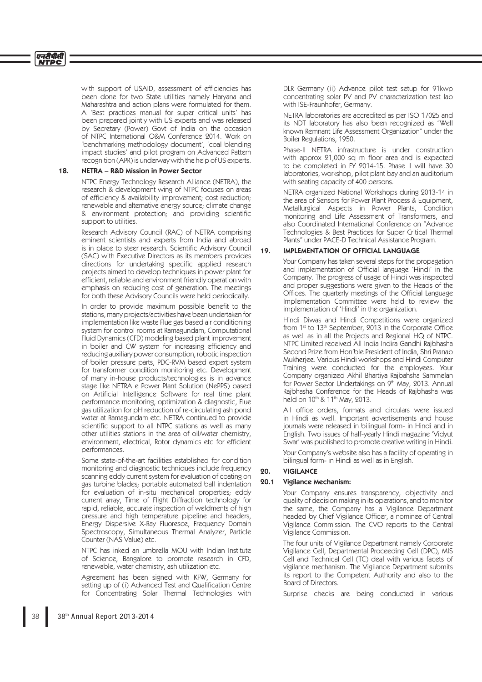with support of USAID, assessment of efficiencies has been done for two State utilities namely Haryana and Maharashtra and action plans were formulated for them. A 'Best practices manual for super critical units' has been prepared jointly with US experts and was released by Secretary (Power) Govt of India on the occasion of NTPC International O&M Conference 2014. Work on 'benchmarking methodology document', 'coal blending impact studies' and pilot program on Advanced Pattern recognition (APR) is underway with the help of US experts.

### 18. NETRA – R&D Mission in Power Sector

 NTPC Energy Technology Research Alliance (NETRA), the research & development wing of NTPC focuses on areas of efficiency & availability improvement; cost reduction; renewable and alternative energy source; climate change & environment protection; and providing scientific support to utilities.

 Research Advisory Council (RAC) of NETRA comprising eminent scientists and experts from India and abroad is in place to steer research. Scientific Advisory Council (SAC) with Executive Directors as its members provides directions for undertaking specific applied research projects aimed to develop techniques in power plant for efficient, reliable and environment friendly operation with emphasis on reducing cost of generation. The meetings for both these Advisory Councils were held periodically.

In order to provide maximum possible benefit to the stations, many projects/activities have been undertaken for implementation like waste Flue gas based air conditioning system for control rooms at Ramagundam, Computational Fluid Dynamics (CFD) modeling based plant improvement in boiler and CW system for increasing efficiency and reducing auxiliary power consumption, robotic inspection of boiler pressure parts, PDC-RVM based expert system for transformer condition monitoring etc. Development of many in-house products/technologies is in advance stage like NETRA e Power Plant Solution (NePPS) based on Artificial Intelligence Software for real time plant performance monitoring, optimization & diagnostic, Flue gas utilization for pH reduction of re-circulating ash pond water at Ramagundam etc. NETRA continued to provide scientific support to all NTPC stations as well as many other utilities stations in the area of oil/water chemistry, environment, electrical, Rotor dynamics etc for efficient performances.

 Some state-of-the-art facilities established for condition monitoring and diagnostic techniques include frequency scanning eddy current system for evaluation of coating on gas turbine blades; portable automated ball indentation for evaluation of in-situ mechanical properties; eddy current array, Time of Flight Diffraction technology for rapid, reliable, accurate inspection of weldments of high pressure and high temperature pipeline and headers, Energy Dispersive X-Ray Fluoresce, Frequency Domain Spectroscopy, Simultaneous Thermal Analyzer, Particle Counter (NAS Value) etc.

 NTPC has inked an umbrella MOU with Indian Institute of Science, Bangalore to promote research in CFD, renewable, water chemistry, ash utilization etc.

 Agreement has been signed with KFW, Germany for setting up of (i) Advanced Test and Qualification Centre for Concentrating Solar Thermal Technologies with DLR Germany (ii) Advance pilot test setup for 91kwp concentrating solar PV and PV characterization test lab with ISE-Fraunhofer, Germany.

 NETRA laboratories are accredited as per ISO 17025 and its NDT laboratory has also been recognized as "Well known Remnant Life Assessment Organization" under the Boiler Regulations, 1950.

 Phase-II NETRA infrastructure is under construction with approx 21,000 sq m floor area and is expected to be completed in FY 2014-15. Phase II will have 30 laboratories, workshop, pilot plant bay and an auditorium with seating capacity of 400 persons.

 NETRA organized National Workshops during 2013-14 in the area of Sensors for Power Plant Process & Equipment, Metallurgical Aspects in Power Plants, Condition monitoring and Life Assessment of Transformers, and also Coordinated International Conference on "Advance Technologies & Best Practices for Super Critical Thermal Plants" under PACE-D Technical Assistance Program.

# 19. IMPLEMENTATION OF OFFICIAL LANGUAGE

 Your Company has taken several steps for the propagation and implementation of Official language 'Hindi' in the Company. The progress of usage of Hindi was inspected and proper suggestions were given to the Heads of the Offices. The quarterly meetings of the Official Language Implementation Committee were held to review the implementation of 'Hindi' in the organization.

 Hindi Diwas and Hindi Competitions were organized from 1<sup>st</sup> to 13<sup>th</sup> September, 2013 in the Corporate Office as well as in all the Projects and Regional HQ of NTPC. NTPC Limited received All India Indira Gandhi Rajbhasha Second Prize from Hon'ble President of India, Shri Pranab Mukherjee. Various Hindi workshops and Hindi Computer Training were conducted for the employees. Your Company organized Akhil Bhartiya Rajbahsha Sammelan for Power Sector Undertakings on 9th May, 2013. Annual Rajbhasha Conference for the Heads of Rajbhasha was held on 10<sup>th</sup> & 11<sup>th</sup> May, 2013.

All office orders, formats and circulars were issued in Hindi as well. Important advertisements and house journals were released in bilingual form- in Hindi and in English. Two issues of half-yearly Hindi magazine 'Vidyut Swar' was published to promote creative writing in Hindi.

 Your Company's website also has a facility of operating in bilingual form- in Hindi as well as in English.

# 20. VIGILANCE

### 20.1 Vigilance Mechanism:

 Your Company ensures transparency, objectivity and quality of decision making in its operations, and to monitor the same, the Company has a Vigilance Department headed by Chief Vigilance Officer, a nominee of Central Vigilance Commission. The CVO reports to the Central Vigilance Commission.

 The four units of Vigilance Department namely Corporate Vigilance Cell, Departmental Proceeding Cell (DPC), MIS Cell and Technical Cell (TC) deal with various facets of vigilance mechanism. The Vigilance Department submits its report to the Competent Authority and also to the Board of Directors.

Surprise checks are being conducted in various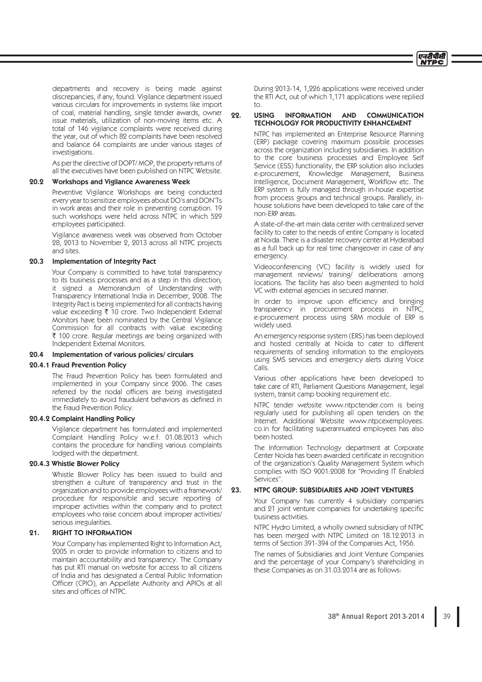

departments and recovery is being made against discrepancies, if any, found. Vigilance department issued various circulars for improvements in systems like import of coal, material handling, single tender awards, owner issue materials, utilization of non-moving items etc. A total of 146 vigilance complaints were received during the year, out of which 82 complaints have been resolved and balance 64 complaints are under various stages of investigations.

 As per the directive of DOPT/ MOP, the property returns of all the executives have been published on NTPC Website.

# 20.2 Workshops and Vigilance Awareness Week

 Preventive Vigilance Workshops are being conducted every year to sensitize employees about DO's and DON'Ts in work areas and their role in preventing corruption. 19 such workshops were held across NTPC in which 529 employees participated.

 Vigilance awareness week was observed from October 28, 2013 to November 2, 2013 across all NTPC projects and sites.

## 20.3 Implementation of Integrity Pact

 Your Company is committed to have total transparency to its business processes and as a step in this direction; it signed a Memorandum of Understanding with Transparency International India in December, 2008. The Integrity Pact is being implemented for all contracts having value exceeding  $\bar{\tau}$  10 crore. Two Independent External Monitors have been nominated by the Central Vigilance Commission for all contracts with value exceeding ` 100 crore. Regular meetings are being organized with Independent External Monitors.

#### 20.4 Implementation of various policies/ circulars

#### 20.4.1 Fraud Prevention Policy

 The Fraud Prevention Policy has been formulated and implemented in your Company since 2006. The cases referred by the nodal officers are being investigated immediately to avoid fraudulent behaviors as defined in the Fraud Prevention Policy.

## 20.4.2 Complaint Handling Policy

 Vigilance department has formulated and implemented Complaint Handling Policy w.e.f. 01.08.2013 which contains the procedure for handling various complaints lodged with the department.

# 20.4.3 Whistle Blower Policy

 Whistle Blower Policy has been issued to build and strengthen a culture of transparency and trust in the organization and to provide employees with a framework/ procedure for responsible and secure reporting of improper activities within the company and to protect employees who raise concern about improper activities/ serious irregularities.

#### 21. RIGHT TO INFORMATION

 Your Company has implemented Right to Information Act, 2005 in order to provide information to citizens and to maintain accountability and transparency. The Company has put RTI manual on website for access to all citizens of India and has designated a Central Public Information Officer (CPIO), an Appellate Authority and APIOs at all sites and offices of NTPC.

 During 2013-14, 1,226 applications were received under the RTI Act, out of which 1,171 applications were replied to.

# 22. USING INFORMATION AND COMMUNICATION TECHNOLOGY FOR PRODUCTIVITY ENHANCEMENT

 NTPC has implemented an Enterprise Resource Planning (ERP) package covering maximum possible processes across the organization including subsidiaries. In addition to the core business processes and Employee Self Service (ESS) functionality, the ERP solution also includes e-procurement, Knowledge Management, Business Intelligence, Document Management, Workflow etc. The ERP system is fully managed through in-house expertise from process groups and technical groups. Parallely, inhouse solutions have been developed to take care of the non-ERP areas.

 A state-of-the-art main data center with centralized server facility to cater to the needs of entire Company is located at Noida. There is a disaster recovery center at Hyderabad as a full back up for real time changeover in case of any emergency.

 Videoconferencing (VC) facility is widely used for management reviews/ training/ deliberations among locations. The facility has also been augmented to hold VC with external agencies in secured manner.

In order to improve upon efficiency and bringing transparency in procurement process in NTPC, e-procurement process using SRM module of ERP is widely used.

 An emergency response system (ERS) has been deployed and hosted centrally at Noida to cater to different requirements of sending information to the employees using SMS services and emergency alerts during Voice Calls.

 Various other applications have been developed to take care of RTI, Parliament Questions Management, legal system, transit camp booking requirement etc.

 NTPC tender website www.ntpctender.com is being regularly used for publishing all open tenders on the Internet. Additional Website www.ntpcexemployees. co.in for facilitating superannuated employees has also been hosted.

 The Information Technology department at Corporate Center Noida has been awarded certificate in recognition of the organization's Quality Management System which complies with ISO 9001:2008 for "Providing IT Enabled Services".

### 23. NTPC GROUP: SUBSIDIARIES AND JOINT VENTURES

 Your Company has currently 4 subsidiary companies and 21 joint venture companies for undertaking specific business activities.

 NTPC Hydro Limited, a wholly owned subsidiary of NTPC has been merged with NTPC Limited on 18.12.2013 in terms of Section 391-394 of the Companies Act, 1956.

 The names of Subsidiaries and Joint Venture Companies and the percentage of your Company's shareholding in these Companies as on 31.03.2014 are as follows: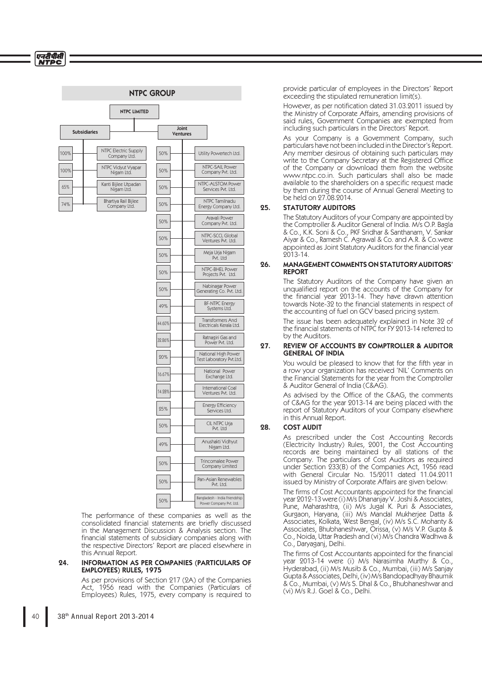#### Bangladesh - India Friendship Power Company Pvt. Ltd. 50% Subsidiaries NTPC LIMITED Joint Ventures Utility Powertech Ltd. NTPC-SAIL POWE Company Pvt. Ltd. NTPC-ALSTOM Power Services Pvt. Ltd. NTPC Tamilnadu Energy Company Ltd. Aravali Pow Company Pvt. Ltd. NTPC-SCCL Global Ventures Pvt. Ltd. Meja Urja Nigam Pvt. Ltd NTPC-BHEL Powe Projects Pvt. Ltd. Nabinagar Po Generating Co. Pvt. Ltd. BF-NTPC Energy Systems Ltd. Transformers And Electricals Kerala Ltd. Ratnagiri Gas and Power Pvt. Ltd. National High Power Test Laboratory Pvt.Ltd. National Power Exchange Ltd. International Coal Ventures Pvt. Ltd. Energy Efficiency<br>Services Ltd. CIL NTPC Urja Pvt. Ltd Trincomalee Powe Company Limited Anushakti Vidhyut Nigam Ltd. Pan-Asian Renewables Pvt. Ltd. NTPC Electric Supply Company Ltd. 100% 50% NTPC Vidyut Vyapar Nigam Ltd. Kanti Bijlee Utpadan Nigam Ltd. Bhartiya Rail Bijlee Company Ltd. 50% 50% 50% 50% 50% 50% 50% 50% 49% 44.60% 32.86% 20% 16.67% 14.28% 25% 50% 50% 49% 50% 100% 65% 74% NTPC GROUP

 The performance of these companies as well as the consolidated financial statements are briefly discussed in the Management Discussion & Analysis section. The financial statements of subsidiary companies along with the respective Directors' Report are placed elsewhere in this Annual Report.

### 24. INFORMATION AS PER COMPANIES (PARTICULARS OF EMPLOYEES) RULES, 1975

 As per provisions of Section 217 (2A) of the Companies Act, 1956 read with the Companies (Particulars of Employees) Rules, 1975, every company is required to

provide particular of employees in the Directors' Report exceeding the stipulated remuneration limit(s).

However, as per notification dated 31.03.2011 issued by the Ministry of Corporate Affairs, amending provisions of said rules, Government Companies are exempted from including such particulars in the Directors' Report.

 As your Company is a Government Company, such particulars have not been included in the Director's Report. Any member desirous of obtaining such particulars may write to the Company Secretary at the Registered Office of the Company or download them from the website www.ntpc.co.in. Such particulars shall also be made available to the shareholders on a specific request made by them during the course of Annual General Meeting to be held on 27.08.2014.

# 25. STATUTORY AUDITORS

 The Statutory Auditors of your Company are appointed by the Comptroller & Auditor General of India. M/s O.P. Bagla & Co., K.K. Soni & Co., PKF Sridhar & Santhanam, V. Sankar Aiyar & Co., Ramesh C. Agrawal & Co. and A.R. & Co.were appointed as Joint Statutory Auditors for the financial year 2013-14.

### 26. MANAGEMENT COMMENTS ON STATUTORY AUDITORS' REPORT

 The Statutory Auditors of the Company have given an unqualified report on the accounts of the Company for the financial year 2013-14. They have drawn attention towards Note-32 to the financial statements in respect of the accounting of fuel on GCV based pricing system.

 The issue has been adequately explained in Note 32 of the financial statements of NTPC for FY 2013-14 referred to by the Auditors.

### 27. REVIEW OF ACCOUNTS BY COMPTROLLER & AUDITOR GENERAL OF INDIA

You would be pleased to know that for the fifth year in a row your organization has received 'NIL' Comments on the Financial Statements for the year from the Comptroller & Auditor General of India (C&AG).

As advised by the Office of the C&AG, the comments of C&AG for the year 2013-14 are being placed with the report of Statutory Auditors of your Company elsewhere in this Annual Report.

# 28. COST AUDIT

 As prescribed under the Cost Accounting Records (Electricity Industry) Rules, 2001, the Cost Accounting records are being maintained by all stations of the Company. The particulars of Cost Auditors as required under Section 233(B) of the Companies Act, 1956 read with General Circular No. 15/2011 dated 11.04.2011 issued by Ministry of Corporate Affairs are given below:

> The firms of Cost Accountants appointed for the financial year 2012-13 were (i) M/s Dhananjay V. Joshi & Associates, Pune, Maharashtra, (ii) M/s Jugal K. Puri & Associates, Gurgaon, Haryana, (iii) M/s Mandal Mukherjee Datta & Associates, Kolkata, West Bengal, (iv) M/s S.C. Mohanty & Associates, Bhubhaneshwar, Orissa, (v) M/s V.P. Gupta & Co., Noida, Uttar Pradesh and (vi) M/s Chandra Wadhwa & Co., Daryaganj, Delhi.

> The firms of Cost Accountants appointed for the financial year 2013-14 were (i) M/s Narasimha Murthy & Co., Hyderabad, (ii) M/s Musib & Co., Mumbai, (iii) M/s Sanjay Gupta & Associates, Delhi, (iv) M/s Bandopadhyay Bhaumik & Co., Mumbai, (v) M/s S. Dhal & Co., Bhubhaneshwar and (vi) M/s R.J. Goel & Co., Delhi.

एनटीपीसी **NTPC**